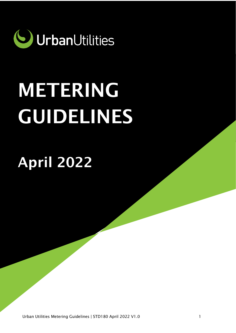

# METERING GUIDELINES

April 2022

Urban Utilities Metering Guidelines | STD180 April 2022 V1.0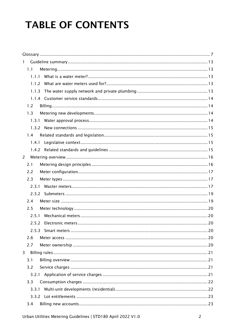# **TABLE OF CONTENTS**

| $\mathbf{1}$   |       |  |  |  |  |
|----------------|-------|--|--|--|--|
|                | 1.1   |  |  |  |  |
|                | 1.1.1 |  |  |  |  |
|                | 1.1.2 |  |  |  |  |
|                | 1.1.3 |  |  |  |  |
|                |       |  |  |  |  |
|                | 1.2   |  |  |  |  |
|                | 1.3   |  |  |  |  |
|                | 1.3.1 |  |  |  |  |
|                | 1.3.2 |  |  |  |  |
|                | 1.4   |  |  |  |  |
|                | 1.4.1 |  |  |  |  |
|                |       |  |  |  |  |
| $\overline{2}$ |       |  |  |  |  |
|                | 2.1   |  |  |  |  |
|                | 2.2   |  |  |  |  |
|                | 2.3   |  |  |  |  |
|                | 2.3.1 |  |  |  |  |
|                |       |  |  |  |  |
|                | 2.4   |  |  |  |  |
|                | 2.5   |  |  |  |  |
|                | 2.5.1 |  |  |  |  |
|                | 2.5.2 |  |  |  |  |
|                |       |  |  |  |  |
|                | 2.6   |  |  |  |  |
|                | 2.7   |  |  |  |  |
| $\overline{3}$ |       |  |  |  |  |
|                | 3.1   |  |  |  |  |
|                | 3.2   |  |  |  |  |
|                | 3.2.1 |  |  |  |  |
|                | 3.3   |  |  |  |  |
|                | 3.3.1 |  |  |  |  |
|                |       |  |  |  |  |
|                | 3.4   |  |  |  |  |
|                |       |  |  |  |  |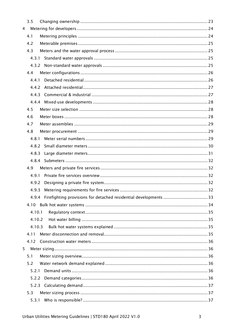|                | 3.5    |  |
|----------------|--------|--|
| $\overline{4}$ |        |  |
|                | 4.1    |  |
|                | 4.2    |  |
|                | 4.3    |  |
|                | 4.3.1  |  |
|                | 4.3.2  |  |
|                | 4.4    |  |
|                | 4.4.1  |  |
|                | 4.4.2  |  |
|                | 4.4.3  |  |
|                |        |  |
|                | 4.5    |  |
|                | 4.6    |  |
|                | 4.7    |  |
|                | 4.8    |  |
|                | 4.8.1  |  |
|                | 4.8.2  |  |
|                | 4.8.3  |  |
|                | 4.8.4  |  |
|                | 4.9    |  |
|                | 4.9.1  |  |
|                | 4.9.2  |  |
|                | 4.9.3  |  |
|                |        |  |
|                | 4.10   |  |
|                | 4.10.1 |  |
|                | 4.10.2 |  |
|                | 4.10.3 |  |
|                | 4.11   |  |
|                | 4.12   |  |
| 5              |        |  |
|                | 5.1    |  |
|                | 5.2    |  |
|                | 5.2.1  |  |
|                | 5.2.2  |  |
|                |        |  |
|                | 5.3    |  |
|                |        |  |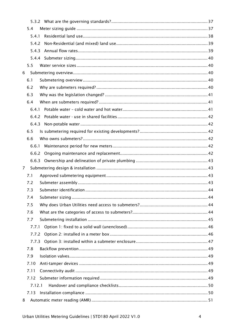|                | 5.4    |  |
|----------------|--------|--|
|                | 5.4.1  |  |
|                | 5.4.2  |  |
|                | 5.4.3  |  |
|                |        |  |
|                | 5.5    |  |
| 6              |        |  |
|                | 6.1    |  |
|                | 6.2    |  |
|                | 6.3    |  |
|                | 6.4    |  |
|                | 6.4.1  |  |
|                | 6.4.2  |  |
|                | 6.4.3  |  |
|                | 6.5    |  |
|                | 6.6    |  |
|                | 6.6.1  |  |
|                | 6.6.2  |  |
|                | 6.6.3  |  |
| $\overline{7}$ |        |  |
|                | 7.1    |  |
|                | 7.2    |  |
|                | 7.3    |  |
|                | 7.4    |  |
|                | 7.5    |  |
|                | 7.6    |  |
|                | 7.7    |  |
|                | 7.7.1  |  |
|                | 7.7.2  |  |
|                | 7.7.3  |  |
|                | 7.8    |  |
|                | 7.9    |  |
|                | 7.10   |  |
|                | 7.11   |  |
|                | 7.12   |  |
|                | 7.12.1 |  |
|                | 7.13   |  |
| 8              |        |  |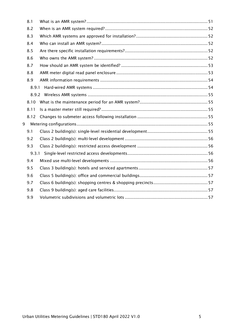|   | 8.1   |  |  |  |
|---|-------|--|--|--|
|   | 8.2   |  |  |  |
|   | 8.3   |  |  |  |
|   | 8.4   |  |  |  |
|   | 8.5   |  |  |  |
|   | 8.6   |  |  |  |
|   | 8.7   |  |  |  |
|   | 8.8   |  |  |  |
|   | 8.9   |  |  |  |
|   | 8.9.1 |  |  |  |
|   |       |  |  |  |
|   | 8.10  |  |  |  |
|   | 8.11  |  |  |  |
|   | 8.12  |  |  |  |
| 9 |       |  |  |  |
|   | 9.1   |  |  |  |
|   | 9.2   |  |  |  |
|   | 9.3   |  |  |  |
|   | 9.3.1 |  |  |  |
|   | 9.4   |  |  |  |
|   | 9.5   |  |  |  |
|   | 9.6   |  |  |  |
|   | 9.7   |  |  |  |
|   | 9.8   |  |  |  |
|   | 9.9   |  |  |  |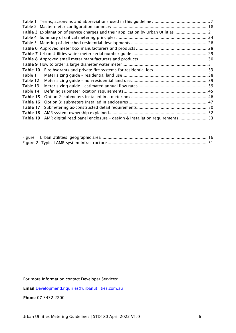|          | Table 3 Explanation of service charges and their application by Urban Utilities  21 |  |
|----------|-------------------------------------------------------------------------------------|--|
|          |                                                                                     |  |
|          |                                                                                     |  |
|          |                                                                                     |  |
|          |                                                                                     |  |
|          |                                                                                     |  |
|          |                                                                                     |  |
| Table 10 |                                                                                     |  |
| Table 11 |                                                                                     |  |
| Table 12 |                                                                                     |  |
| Table 13 |                                                                                     |  |
| Table 14 |                                                                                     |  |
| Table 15 |                                                                                     |  |
| Table 16 |                                                                                     |  |
| Table 17 |                                                                                     |  |
| Table 18 |                                                                                     |  |
| Table 19 | AMR digital read panel enclosure - design & installation requirements  53           |  |

For more information contact Developer Services:

Email [DevelopmentEnquiries@urbanutilities.com.au](mailto:DevelopmentEnquiries@urbanutilities.com.au)

Phone 07 3432 2200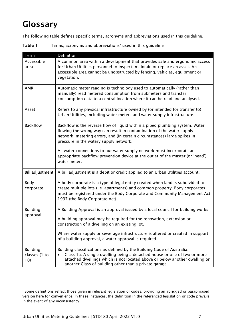# <span id="page-6-0"></span>Glossary

The following table defines specific terms, acronyms and abbreviations used in this guideline.

<span id="page-6-1"></span>Table 1 Terms, acronyms and abbreviations<sup>1</sup> used in this quideline

| Term                                    | <b>Definition</b>                                                                                                                                                                                                                                                                          |
|-----------------------------------------|--------------------------------------------------------------------------------------------------------------------------------------------------------------------------------------------------------------------------------------------------------------------------------------------|
| Accessible<br>area                      | A common area within a development that provides safe and ergonomic access<br>for Urban Utilities personnel to inspect, maintain or replace an asset. An<br>accessible area cannot be unobstructed by fencing, vehicles, equipment or<br>vegetation.                                       |
| <b>AMR</b>                              | Automatic meter reading is technology used to automatically (rather than<br>manually) read metered consumption from submeters and transfer<br>consumption data to a central location where it can be read and analysed.                                                                    |
| Asset                                   | Refers to any physical infrastructure owned by (or intended for transfer to)<br>Urban Utilities, including water meters and water supply infrastructure.                                                                                                                                   |
| <b>Backflow</b>                         | Backflow is the reverse flow of liquid within a piped plumbing system. Water<br>flowing the wrong way can result in contamination of the water supply<br>network, metering errors, and (in certain circumstances) large spikes in<br>pressure in the watery supply network.                |
|                                         | All water connections to our water supply network must incorporate an<br>appropriate backflow prevention device at the outlet of the master (or 'head')<br>water meter.                                                                                                                    |
| <b>Bill adjustment</b>                  | A bill adjustment is a debit or credit applied to an Urban Utilities account.                                                                                                                                                                                                              |
| Body<br>corporate                       | A body corporate is a type of legal entity created when land is subdivided to<br>create multiple lots (i.e. apartments) and common property. Body corporates<br>must be registered under the Body Corporate and Community Management Act<br>1997 (the Body Corporate Act).                 |
| <b>Building</b>                         | A Building Approval is an approval issued by a local council for building works.                                                                                                                                                                                                           |
| approval                                | A building approval may be required for the renovation, extension or<br>construction of a dwelling on an existing lot.                                                                                                                                                                     |
|                                         | Where water supply or sewerage infrastructure is altered or created in support<br>of a building approval, a water approval is required.                                                                                                                                                    |
| <b>Building</b><br>classes (1 to<br>10) | Building classifications as defined by the Building Code of Australia:<br>Class 1a: A single dwelling being a detached house or one of two or more<br>attached dwellings which is not located above or below another dwelling or<br>another Class of building other than a private garage. |

<span id="page-6-2"></span><sup>&</sup>lt;sup>1</sup> Some definitions reflect those given in relevant legislation or codes, providing an abridged or paraphrased version here for convenience. In these instances, the definition in the referenced legislation or code prevails in the event of any inconsistency.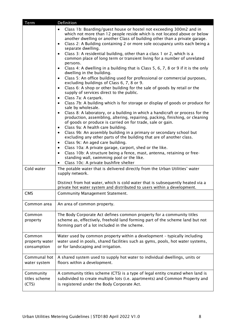| Term                                    | Definition                                                                                                                                                                                                                                                                                                                                                                                                                                                                                                                                                                                                                                                                                                                                                                                                                                                                                                                                                                                                                                                                                                                                                                                                                                                                                                                                                                                                                                                                                                                                                                                                                                                                                                                                                                               |
|-----------------------------------------|------------------------------------------------------------------------------------------------------------------------------------------------------------------------------------------------------------------------------------------------------------------------------------------------------------------------------------------------------------------------------------------------------------------------------------------------------------------------------------------------------------------------------------------------------------------------------------------------------------------------------------------------------------------------------------------------------------------------------------------------------------------------------------------------------------------------------------------------------------------------------------------------------------------------------------------------------------------------------------------------------------------------------------------------------------------------------------------------------------------------------------------------------------------------------------------------------------------------------------------------------------------------------------------------------------------------------------------------------------------------------------------------------------------------------------------------------------------------------------------------------------------------------------------------------------------------------------------------------------------------------------------------------------------------------------------------------------------------------------------------------------------------------------------|
|                                         | Class 1b: Boarding/guest house or hostel not exceeding 300m2 and in<br>$\bullet$<br>which not more than 12 people reside which is not located above or below<br>another dwelling or another Class of building other than a private garage.<br>Class 2: A Building containing 2 or more sole occupancy units each being a<br>$\bullet$<br>separate dwelling.<br>Class 3: A residential building, other than a class 1 or 2, which is a<br>$\bullet$<br>common place of long term or transient living for a number of unrelated<br>persons.<br>Class 4: A dwelling in a building that is Class 5, 6, 7, 8 or 9 if it is the only<br>$\bullet$<br>dwelling in the building.<br>Class 5: An office building used for professional or commercial purposes,<br>$\bullet$<br>excluding buildings of Class 6, 7, 8 or 9.<br>Class 6: A shop or other building for the sale of goods by retail or the<br>$\bullet$<br>supply of services direct to the public.<br>Class 7a: A carpark.<br>$\bullet$<br>Class 7b: A building which is for storage or display of goods or produce for<br>$\bullet$<br>sale by wholesale.<br>Class 8: A laboratory, or a building in which a handicraft or process for the<br>$\bullet$<br>production, assembling, altering, repairing, packing, finishing, or cleaning<br>of goods or produce is carried on for trade, sale or gain.<br>Class 9a: A health care building.<br>$\bullet$<br>Class 9b: An assembly building in a primary or secondary school but<br>$\bullet$<br>excluding any other parts of the building that are of another class.<br>Class 9c: An aged care building.<br>$\bullet$<br>Class 10a: A private garage, carport, shed or the like.<br>$\bullet$<br>Class 10b: A structure being a fence, mast, antenna, retaining or free-<br>$\bullet$ |
|                                         | standing wall, swimming pool or the like.                                                                                                                                                                                                                                                                                                                                                                                                                                                                                                                                                                                                                                                                                                                                                                                                                                                                                                                                                                                                                                                                                                                                                                                                                                                                                                                                                                                                                                                                                                                                                                                                                                                                                                                                                |
|                                         | Class 10c: A private bushfire shelter                                                                                                                                                                                                                                                                                                                                                                                                                                                                                                                                                                                                                                                                                                                                                                                                                                                                                                                                                                                                                                                                                                                                                                                                                                                                                                                                                                                                                                                                                                                                                                                                                                                                                                                                                    |
| Cold water                              | The potable water that is delivered directly from the Urban Utilities' water<br>supply network.<br>Distinct from hot water, which is cold water that is subsequently heated via a                                                                                                                                                                                                                                                                                                                                                                                                                                                                                                                                                                                                                                                                                                                                                                                                                                                                                                                                                                                                                                                                                                                                                                                                                                                                                                                                                                                                                                                                                                                                                                                                        |
|                                         | private hot water system and distributed to users within a development.                                                                                                                                                                                                                                                                                                                                                                                                                                                                                                                                                                                                                                                                                                                                                                                                                                                                                                                                                                                                                                                                                                                                                                                                                                                                                                                                                                                                                                                                                                                                                                                                                                                                                                                  |
| <b>CMS</b>                              | <b>Community Management Statement.</b>                                                                                                                                                                                                                                                                                                                                                                                                                                                                                                                                                                                                                                                                                                                                                                                                                                                                                                                                                                                                                                                                                                                                                                                                                                                                                                                                                                                                                                                                                                                                                                                                                                                                                                                                                   |
| Common area                             | An area of common property.                                                                                                                                                                                                                                                                                                                                                                                                                                                                                                                                                                                                                                                                                                                                                                                                                                                                                                                                                                                                                                                                                                                                                                                                                                                                                                                                                                                                                                                                                                                                                                                                                                                                                                                                                              |
| Common<br>property                      | The Body Corporate Act defines common property for a community titles<br>scheme as, effectively, freehold land forming part of the scheme land but not<br>forming part of a lot included in the scheme.                                                                                                                                                                                                                                                                                                                                                                                                                                                                                                                                                                                                                                                                                                                                                                                                                                                                                                                                                                                                                                                                                                                                                                                                                                                                                                                                                                                                                                                                                                                                                                                  |
| Common<br>property water<br>consumption | Water used by common property within a development - typically including<br>water used in pools, shared facilities such as gyms, pools, hot water systems,<br>or for landscaping and irrigation.                                                                                                                                                                                                                                                                                                                                                                                                                                                                                                                                                                                                                                                                                                                                                                                                                                                                                                                                                                                                                                                                                                                                                                                                                                                                                                                                                                                                                                                                                                                                                                                         |
| Communal hot<br>water system            | A shared system used to supply hot water to individual dwellings, units or<br>floors within a development.                                                                                                                                                                                                                                                                                                                                                                                                                                                                                                                                                                                                                                                                                                                                                                                                                                                                                                                                                                                                                                                                                                                                                                                                                                                                                                                                                                                                                                                                                                                                                                                                                                                                               |
| Community<br>titles scheme<br>(CTS)     | A community titles scheme (CTS) is a type of legal entity created when land is<br>subdivided to create multiple lots (i.e. apartments) and Common Property and<br>is registered under the Body Corporate Act.                                                                                                                                                                                                                                                                                                                                                                                                                                                                                                                                                                                                                                                                                                                                                                                                                                                                                                                                                                                                                                                                                                                                                                                                                                                                                                                                                                                                                                                                                                                                                                            |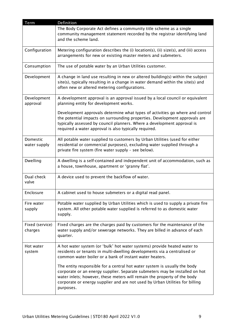| <b>Term</b>                | Definition                                                                                                                                                                                                                                                                                                                        |
|----------------------------|-----------------------------------------------------------------------------------------------------------------------------------------------------------------------------------------------------------------------------------------------------------------------------------------------------------------------------------|
|                            | The Body Corporate Act defines a community title scheme as a single<br>community management statement recorded by the registrar identifying land<br>and the scheme land.                                                                                                                                                          |
| Configuration              | Metering configuration describes the (i) location(s), (ii) size(s), and (iii) access<br>arrangements for new or existing master meters and submeters.                                                                                                                                                                             |
| Consumption                | The use of potable water by an Urban Utilities customer.                                                                                                                                                                                                                                                                          |
| Development                | A change in land use resulting in new or altered building(s) within the subject<br>site(s), typically resulting in a change in water demand within the site(s) and<br>often new or altered metering configurations.                                                                                                               |
| Development<br>approval    | A development approval is an approval issued by a local council or equivalent<br>planning entity for development works.                                                                                                                                                                                                           |
|                            | Development approvals determine what types of activities go where and control<br>the potential impacts on surrounding properties. Development approvals are<br>typically assessed by council planners. Where a development approval is<br>required a water approval is also typically required.                                   |
| Domestic<br>water supply   | All potable water supplied to customers by Urban Utilities (used for either<br>residential or commercial purposes), excluding water supplied through a<br>private fire system (fire water supply - see below).                                                                                                                    |
| Dwelling                   | A dwelling is a self-contained and independent unit of accommodation, such as<br>a house, townhouse, apartment or 'granny flat'.                                                                                                                                                                                                  |
| Dual check<br>valve        | A device used to prevent the backflow of water.                                                                                                                                                                                                                                                                                   |
| Enclosure                  | A cabinet used to house submeters or a digital read panel.                                                                                                                                                                                                                                                                        |
| Fire water<br>supply       | Potable water supplied by Urban Utilities which is used to supply a private fire<br>system. All other potable water supplied is referred to as domestic water<br>supply.                                                                                                                                                          |
| Fixed (service)<br>charges | Fixed charges are the charges paid by customers for the maintenance of the<br>water supply and/or sewerage networks. They are billed in advance of each<br>quarter.                                                                                                                                                               |
| Hot water<br>system        | A hot water system (or 'bulk' hot water systems) provide heated water to<br>residents or tenants in multi-dwelling developments via a centralised or<br>common water boiler or a bank of instant water heaters.                                                                                                                   |
|                            | The entity responsible for a central hot water system is usually the body<br>corporate or an energy supplier. Separate submeters may be installed on hot<br>water inlets; however, these meters will remain the property of the body<br>corporate or energy supplier and are not used by Urban Utilities for billing<br>purposes. |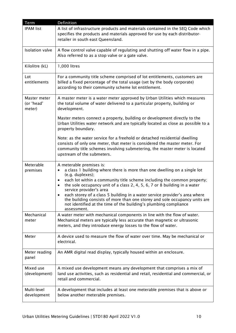| Term                                 | Definition                                                                                                                                                                                                                                                                                                                                                                                                                                                                                                                                                                                |
|--------------------------------------|-------------------------------------------------------------------------------------------------------------------------------------------------------------------------------------------------------------------------------------------------------------------------------------------------------------------------------------------------------------------------------------------------------------------------------------------------------------------------------------------------------------------------------------------------------------------------------------------|
| <b>IPAM list</b>                     | A list of infrastructure products and materials contained in the SEQ Code which<br>specifies the products and materials approved for use by each distributor-<br>retailer in south east Queensland.                                                                                                                                                                                                                                                                                                                                                                                       |
| <b>Isolation valve</b>               | A flow control valve capable of regulating and shutting off water flow in a pipe.<br>Also referred to as a stop valve or a gate valve.                                                                                                                                                                                                                                                                                                                                                                                                                                                    |
| Kilolitre (kL)                       | 1,000 litres                                                                                                                                                                                                                                                                                                                                                                                                                                                                                                                                                                              |
| Lot<br>entitlements                  | For a community title scheme comprised of lot entitlements, customers are<br>billed a fixed percentage of the total usage (set by the body corporate)<br>according to their community scheme lot entitlement.                                                                                                                                                                                                                                                                                                                                                                             |
| Master meter<br>(or 'head'<br>meter) | A master meter is a water meter approved by Urban Utilities which measures<br>the total volume of water delivered to a particular property, building or<br>development.                                                                                                                                                                                                                                                                                                                                                                                                                   |
|                                      | Master meters connect a property, building or development directly to the<br>Urban Utilities water network and are typically located as close as possible to a<br>property boundary.                                                                                                                                                                                                                                                                                                                                                                                                      |
|                                      | Note: as the water service for a freehold or detached residential dwelling<br>consists of only one meter, that meter is considered the master meter. For<br>community title schemes involving submetering, the master meter is located<br>upstream of the submeters.                                                                                                                                                                                                                                                                                                                      |
| Meterable<br>premises                | A meterable premises is:<br>a class 1 building where there is more than one dwelling on a single lot<br>$\bullet$<br>(e.g. duplexes);<br>each lot within a community title scheme including the common property;<br>٠<br>the sole occupancy unit of a class 2, 4, 5, 6, 7 or 8 building in a water<br>$\bullet$<br>service provider's area<br>each storey of a class 5 building in a water service provider's area where<br>the building consists of more than one storey and sole occupancy units are<br>not identified at the time of the building's plumbing compliance<br>assessment. |
| Mechanical<br>meter                  | A water meter with mechanical components in line with the flow of water.<br>Mechanical meters are typically less accurate than magnetic or ultrasonic<br>meters, and they introduce energy losses to the flow of water.                                                                                                                                                                                                                                                                                                                                                                   |
| Meter                                | A device used to measure the flow of water over time. May be mechanical or<br>electrical.                                                                                                                                                                                                                                                                                                                                                                                                                                                                                                 |
| Meter reading<br>panel               | An AMR digital read display, typically housed within an enclosure.                                                                                                                                                                                                                                                                                                                                                                                                                                                                                                                        |
| Mixed use<br>(development)           | A mixed use development means any development that comprises a mix of<br>land use activities, such as residential and retail, residential and commercial, or<br>retail and commercial.                                                                                                                                                                                                                                                                                                                                                                                                    |
| Multi-level<br>development           | A development that includes at least one meterable premises that is above or<br>below another meterable premises.                                                                                                                                                                                                                                                                                                                                                                                                                                                                         |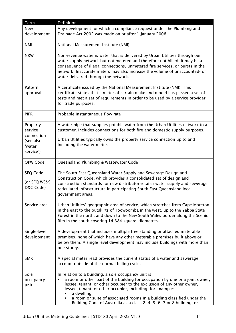| Term                                                                  | <b>Definition</b>                                                                                                                                                                                                                                                                                                                                                                                                                              |
|-----------------------------------------------------------------------|------------------------------------------------------------------------------------------------------------------------------------------------------------------------------------------------------------------------------------------------------------------------------------------------------------------------------------------------------------------------------------------------------------------------------------------------|
| New<br>development                                                    | Any development for which a compliance request under the Plumbing and<br>Drainage Act 2002 was made on or after 1 January 2008.                                                                                                                                                                                                                                                                                                                |
| <b>NMI</b>                                                            | National Measurement Institute (NMI)                                                                                                                                                                                                                                                                                                                                                                                                           |
| <b>NRW</b>                                                            | Non-revenue water is water that is delivered by Urban Utilities through our<br>water supply network but not metered and therefore not billed. It may be a<br>consequence of illegal connections, unmetered fire services, or bursts in the<br>network. Inaccurate meters may also increase the volume of unaccounted-for<br>water delivered through the network.                                                                               |
| Pattern<br>approval                                                   | A certificate issued by the National Measurement Institute (NMI). This<br>certificate states that a meter of certain make and model has passed a set of<br>tests and met a set of requirements in order to be used by a service provider<br>for trade purposes.                                                                                                                                                                                |
| <b>PIFR</b>                                                           | Probable instantaneous flow rate                                                                                                                                                                                                                                                                                                                                                                                                               |
| Property<br>service<br>connection<br>(see also<br>'water<br>service') | A water pipe that supplies potable water from the Urban Utilities network to a<br>customer. Includes connections for both fire and domestic supply purposes.<br>Urban Utilities typically owns the property service connection up to and<br>including the water meter.                                                                                                                                                                         |
| QPW Code                                                              | Queensland Plumbing & Wastewater Code                                                                                                                                                                                                                                                                                                                                                                                                          |
| SEQ Code<br>(or SEQ WS&S<br>D&C Code)                                 | The South East Queensland Water Supply and Sewerage Design and<br>Construction Code, which provides a consolidated set of design and<br>construction standards for new distributor-retailer water supply and sewerage<br>reticulated infrastructure in participating South East Queensland local<br>government areas.                                                                                                                          |
| Service area                                                          | Urban Utilities' geographic area of service, which stretches from Cape Moreton<br>in the east to the outskirts of Toowoomba in the west, up to the Yabba State<br>Forest in the north, and down to the New South Wales border along the Scenic<br>Rim in the south covering 14,384 square kilometres.                                                                                                                                          |
| Single-level<br>development                                           | A development that includes multiple free standing or attached meterable<br>premises, none of which have any other meterable premises built above or<br>below them. A single level development may include buildings with more than<br>one storey.                                                                                                                                                                                             |
| <b>SMR</b>                                                            | A special meter read provides the current status of a water and sewerage<br>account outside of the normal billing cycle.                                                                                                                                                                                                                                                                                                                       |
| Sole<br>occupancy<br>unit                                             | In relation to a building, a sole occupancy unit is:<br>a room or other part of the building for occupation by one or a joint owner,<br>lessee, tenant, or other occupier to the exclusion of any other owner,<br>lessee, tenant, or other occupier, including, for example:<br>a dwelling;<br>a room or suite of associated rooms in a building classified under the<br>Building Code of Australia as a class 2, 4, 5, 6, 7 or 8 building; or |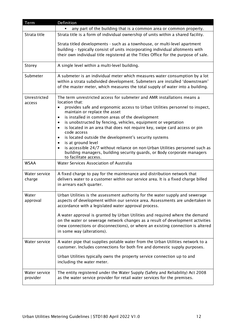| Term                      | Definition                                                                                                                                                                                                                                                                      |
|---------------------------|---------------------------------------------------------------------------------------------------------------------------------------------------------------------------------------------------------------------------------------------------------------------------------|
|                           | any part of the building that is a common area or common property.                                                                                                                                                                                                              |
| Strata title              | Strata title is a form of individual ownership of units within a shared facility.                                                                                                                                                                                               |
|                           | Strata titled developments - such as a townhouse, or multi-level apartment<br>building - typically consist of units incorporating individual allotments with<br>their own individual title registered at the Titles Office for the purpose of sale.                             |
| Storey                    | A single level within a multi-level building.                                                                                                                                                                                                                                   |
| Submeter                  | A submeter is an individual meter which measures water consumption by a lot<br>within a strata subdivided development. Submeters are installed 'downstream'<br>of the master meter, which measures the total supply of water into a building.                                   |
| Unrestricted<br>access    | The term unrestricted access for submeter and AMR installations means a<br>location that:                                                                                                                                                                                       |
|                           | provides safe and ergonomic access to Urban Utilities personnel to inspect,<br>maintain or replace the asset                                                                                                                                                                    |
|                           | is installed in common areas of the development<br>$\bullet$                                                                                                                                                                                                                    |
|                           | is unobstructed by fencing, vehicles, equipment or vegetation<br>$\bullet$                                                                                                                                                                                                      |
|                           | is located in an area that does not require key, swipe card access or pin<br>$\bullet$<br>code access                                                                                                                                                                           |
|                           | is located outside the development's security systems<br>٠                                                                                                                                                                                                                      |
|                           | is at ground level<br>$\bullet$                                                                                                                                                                                                                                                 |
|                           | is accessible 24/7 without reliance on non-Urban Utilities personnel such as<br>$\bullet$<br>building managers, building security guards, or Body corporate managers<br>to facilitate access.                                                                                   |
| <b>WSAA</b>               | Water Services Association of Australia                                                                                                                                                                                                                                         |
| Water service<br>charge   | A fixed charge to pay for the maintenance and distribution network that<br>delivers water to a customer within our service area. It is a fixed charge billed<br>in arrears each quarter.                                                                                        |
| Water<br>approval         | Urban Utilities is the assessment authority for the water supply and sewerage<br>aspects of development within our service area. Assessments are undertaken in<br>accordance with a legislated water approval process.                                                          |
|                           | A water approval is granted by Urban Utilities and required where the demand<br>on the water or sewerage network changes as a result of development activities<br>(new connections or disconnections), or where an existing connection is altered<br>in some way (alterations). |
| Water service             | A water pipe that supplies potable water from the Urban Utilities network to a<br>customer. Includes connections for both fire and domestic supply purposes.                                                                                                                    |
|                           | Urban Utilities typically owns the property service connection up to and<br>including the water meter.                                                                                                                                                                          |
| Water service<br>provider | The entity registered under the Water Supply (Safety and Reliability) Act 2008<br>as the water service provider for retail water services for the premises.                                                                                                                     |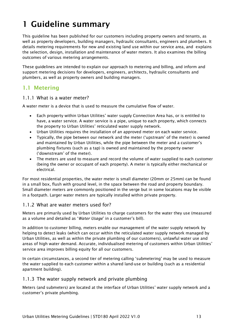# <span id="page-12-0"></span>1 Guideline summary

This guideline has been published for our customers including property owners and tenants, as well as property developers, building managers, hydraulic consultants, engineers and plumbers. It details metering requirements for new and existing land use within our service area, and explains the selection, design, installation and maintenance of water meters. It also examines the billing outcomes of various metering arrangements.

These guidelines are intended to explain our approach to metering and billing, and inform and support metering decisions for developers, engineers, architects, hydraulic consultants and plumbers, as well as property owners and building managers.

# <span id="page-12-1"></span>1.1 Metering

#### <span id="page-12-2"></span>1.1.1 What is a water meter?

A water meter is a device that is used to measure the cumulative flow of water.

- Each property within Urban Utilities' water supply Connection Area has, or is entitled to have, a water service. A water service is a pipe, unique to each property, which connects the property to Urban Utilities' reticulated water supply network.
- Urban Utilities requires the installation of an approved meter on each water service.
- Typically, the pipe between our network and the meter ('upstream' of the meter) is owned and maintained by Urban Utilities, while the pipe between the meter and a customer's plumbing fixtures (such as a tap) is owned and maintained by the property owner ('downstream' of the meter).
- The meters are used to measure and record the volume of water supplied to each customer (being the owner or occupant of each property). A meter is typically either mechanical or electrical.

For most residential properties, the water meter is small diameter (20mm or 25mm) can be found in a small box, flush with ground level, in the space between the road and property boundary. Small diameter meters are commonly positioned in the verge but in some locations may be visible in a footpath. Larger water meters are typically installed within private property.

#### <span id="page-12-3"></span>1.1.2 What are water meters used for?

Meters are primarily used by Urban Utilities to charge customers for the water they use (measured as a volume and detailed as '*Water Usage*' in a customer's bill).

In addition to customer billing, meters enable our management of the water supply network by helping to detect leaks (which can occur within the reticulated water supply network managed by Urban Utilities, as well as within the private plumbing of our customers), unlawful water use and areas of high water demand. Accurate, individualised metering of customers within Urban Utilities' service area improves billing equity for all our customers.

In certain circumstances, a second tier of metering calling 'submetering' may be used to measure the water supplied to each customer within a shared land-use or building (such as a residential apartment building).

#### <span id="page-12-4"></span>1.1.3 The water supply network and private plumbing

Meters (and submeters) are located at the interface of Urban Utilities' water supply network and a customer's private plumbing.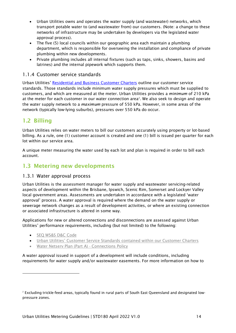- Urban Utilities owns and operates the water supply (and wastewater) networks, which transport potable water to (and wastewater from) our customers. (Note: a change to these networks of infrastructure may be undertaken by developers via the legislated water approval process).
- The five (5) local councils within our geographic area each maintain a plumbing department, which is responsible for overseeing the installation and compliance of private plumbing within new developments.
- Private plumbing includes all internal fixtures (such as taps, sinks, showers, basins and latrines) and the internal pipework which supports them.

#### <span id="page-13-0"></span>1.1.4 Customer service standards

Urban Utilities' [Residential and Business](https://urbanutilities.com.au/contact-us/our-commitment-to-you) Customer Charters outline our customer service standards. Those standards include minimum water supply pressures which must be supplied to customers, and which are measured at the meter. Urban Utilities provides a *minimum* of 210 kPa at the meter for each customer in our water connection area<sup>[2](#page-13-4)</sup>. We also seek to design and operate the water supply network to a *maximum* pressure of 550 kPa. However, in some areas of the network (typically low-lying suburbs), pressures over 550 kPa do occur.

# <span id="page-13-1"></span>1.2 Billing

Urban Utilities relies on water meters to bill our customers accurately using property or lot-based billing. As a rule, one (1) customer account is created and one (1) bill is issued per quarter for each lot within our service area.

A unique meter measuring the water used by each lot and plan is required in order to bill each account.

## <span id="page-13-2"></span>1.3 Metering new developments

#### <span id="page-13-3"></span>1.3.1 Water approval process

Urban Utilities is the assessment manager for water supply and wastewater servicing-related aspects of development within the Brisbane, Ipswich, Scenic Rim, Somerset and Lockyer Valley local government areas. Assessments are undertaken in accordance with a legislated ['water](https://www.urbanutilities.com.au/development-services/help-and-advice/water-approvals)  [approval'](https://www.urbanutilities.com.au/development-services/help-and-advice/water-approvals) process. A water approval is required where the demand on the water supply or sewerage network changes as a result of development activities, or where an existing connection or associated infrastructure is altered in some way.

Applications for new or altered connections and disconnections are assessed against Urban Utilities' performance requirements, including (but not limited) to the following:

- SEQ WS&S D&C Code
- [Urban Utilities' Customer Service Standards](https://www.urbanutilities.com.au/about-us/corporate-information/publications) contained within our Customer Charters
- [Water Netserv Plan \(Part A\) -](https://www.urbanutilities.com.au/development-services/help-and-advice/water-netserv-plan) Connections Policy

A water approval issued in support of a development will include conditions, including requirements for water supply and/or wastewater easements. For more information on how to

<span id="page-13-4"></span><sup>&</sup>lt;sup>2</sup> Excluding trickle-feed areas, typically found in rural parts of South East Queensland and designated lowpressure zones.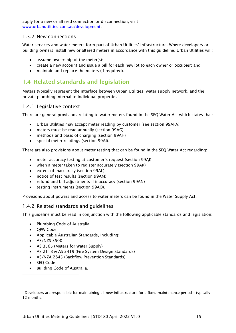apply for a new or altered connection or disconnection, visit [www.urbanutilities.com.au/development.](http://www.urbanutilities.com.au/development)

#### <span id="page-14-0"></span>1.3.2 New connections

Water services and water meters form part of Urban Utilities' infrastructure. Where developers or building owners install new or altered meters in accordance with this guideline, Urban Utilities will:

- assume ownership of the meter(s)<sup>[3](#page-14-4)</sup>
- create a new account and issue a bill for each new lot to each owner or occupier; and
- maintain and replace the meters (if required).

# <span id="page-14-1"></span>1.4 Related standards and legislation

Meters typically represent the interface between Urban Utilities' water supply network, and the private plumbing internal to individual properties.

#### <span id="page-14-2"></span>1.4.1 Legislative context

There are general provisions relating to water meters found in the SEQ Water Act which states that:

- Urban Utilities may accept meter reading by customer (see section 99AFA)
- meters must be read annually (section 99AG)
- methods and basis of charging (section 99AH)
- special meter readings (section 99AI).

There are also provisions about meter testing that can be found in the SEQ Water Act regarding:

- meter accuracy testing at customer's request (section 99AJ)
- when a meter taken to register accurately (section 99AK)
- extent of inaccuracy (section 99AL)
- notice of test results (section 99AM)
- refund and bill adjustments if inaccuracy (section 99AN)
- testing instruments (section 99AO).

Provisions about powers and access to water meters can be found in the Water Supply Act.

#### <span id="page-14-3"></span>1.4.2 Related standards and guidelines

This guideline must be read in conjunction with the following applicable standards and legislation:

- Plumbing Code of Australia
- QPW Code
- Applicable Australian Standards, including:
- AS/NZS 3500
- AS 3565 (Meters for Water Supply)
- AS 2118 & AS 2419 (Fire System Design Standards)
- AS/NZA 2845 (Backflow Prevention Standards)
- SEQ Code
- Building Code of Australia.

<span id="page-14-4"></span><sup>3</sup> Developers are responsible for maintaining all new infrastructure for a fixed maintenance period – typically 12 months.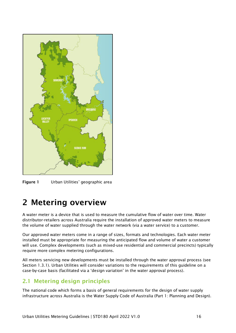

<span id="page-15-2"></span>Figure 1 Urban Utilities' geographic area

# <span id="page-15-0"></span>2 Metering overview

A water meter is a device that is used to measure the cumulative flow of water over time. Water distributor-retailers across Australia require the installation of approved water meters to measure the volume of water supplied through the water network (via a water service) to a customer.

Our approved water meters come in a range of sizes, formats and technologies. Each water meter installed must be appropriate for measuring the anticipated flow and volume of water a customer will use. Complex developments (such as mixed-use residential and commercial precincts) typically require more complex metering configurations.

All meters servicing new developments must be installed through the water approval process (see Section [1.3.1\)](#page-13-3). Urban Utilities will consider variations to the requirements of this guideline on a case-by-case basis (facilitated via a 'design variation' in the water approval process).

# <span id="page-15-1"></span>2.1 Metering design principles

The national code which forms a basis of general requirements for the design of water supply infrastructure across Australia is the Water Supply Code of Australia (Part 1: Planning and Design).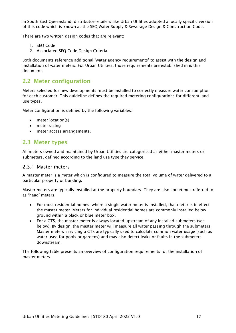In South East Queensland, distributor-retailers like Urban Utilities adopted a locally specific version of this code which is known as the SEQ Water Supply & Sewerage Design & Construction Code.

There are two written design codes that are relevant:

- 1. SEQ Code
- 2. Associated SEQ Code Design Criteria.

Both documents reference additional 'water agency requirements' to assist with the design and installation of water meters. For Urban Utilities, those requirements are established in is this document.

## <span id="page-16-0"></span>2.2 Meter configuration

Meters selected for new developments must be installed to correctly measure water consumption for each customer. This guideline defines the required metering configurations for different land use types.

Meter configuration is defined by the following variables:

- meter location(s)
- meter sizing
- meter access arrangements.

#### <span id="page-16-1"></span>2.3 Meter types

All meters owned and maintained by Urban Utilities are categorised as either master meters or submeters, defined according to the land use type they service.

#### <span id="page-16-2"></span>2.3.1 Master meters

A master meter is a meter which is configured to measure the total volume of water delivered to a particular property or building.

Master meters are typically installed at the property boundary. They are also sometimes referred to as 'head' meters.

- For most residential homes, where a single water meter is installed, that meter is in effect the master meter. Meters for individual residential homes are commonly installed below ground within a black or blue meter box.
- For a CTS, the master meter is always located upstream of any installed submeters (see below). By design, the master meter will measure all water passing through the submeters. Master meters servicing a CTS are typically used to calculate common water usage (such as water used for pools or gardens) and may also detect leaks or faults in the submeters downstream.

The following table presents an overview of configuration requirements for the installation of master meters.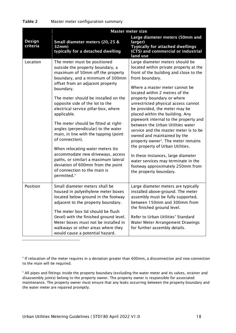<span id="page-17-0"></span>

| Table 2<br>Master meter configuration summary |  |
|-----------------------------------------------|--|
|-----------------------------------------------|--|

|                    | <b>Master meter size</b>                                                                                                                                                                                                                                                                                                                                                                                                                                                                                                                                                                                                                                                                |                                                                                                                                                                                                                                                                                                                                                                                                                                                                                                                                                                                                                                                                                                                                             |  |  |  |
|--------------------|-----------------------------------------------------------------------------------------------------------------------------------------------------------------------------------------------------------------------------------------------------------------------------------------------------------------------------------------------------------------------------------------------------------------------------------------------------------------------------------------------------------------------------------------------------------------------------------------------------------------------------------------------------------------------------------------|---------------------------------------------------------------------------------------------------------------------------------------------------------------------------------------------------------------------------------------------------------------------------------------------------------------------------------------------------------------------------------------------------------------------------------------------------------------------------------------------------------------------------------------------------------------------------------------------------------------------------------------------------------------------------------------------------------------------------------------------|--|--|--|
| Design<br>criteria | Small diameter meters (20, 25 &<br>32mm)<br>typically for a detached dwelling                                                                                                                                                                                                                                                                                                                                                                                                                                                                                                                                                                                                           | Large diameter meters (50mm and<br>larger)<br><b>Typically for attached dwellings</b><br>(CTS) and commercial or industrial<br>land use                                                                                                                                                                                                                                                                                                                                                                                                                                                                                                                                                                                                     |  |  |  |
| Location           | The meter must be positioned<br>outside the property boundary, a<br>maximum of 50mm off the property<br>boundary, and a minimum of 300mm<br>offset from an adjacent property<br>boundary.<br>The meter should be installed on the<br>opposite side of the lot to the<br>electrical service pillar-box, where<br>applicable.<br>The meter should be fitted at right-<br>angles (perpendicular) to the water<br>main, in line with the tapping (point<br>of connection).<br>When relocating water meters (to<br>accommodate new driveways, access<br>paths, or similar) a maximum lateral<br>deviation of 600mm from the point<br>of connection to the main is<br>permitted. <sup>4</sup> | Large diameter meters should be<br>located within private property at the<br>front of the building and close to the<br>front boundary.<br>Where a master meter cannot be<br>located within 2 metres of the<br>property boundary or where<br>unrestricted physical access cannot<br>be provided, the meter may be<br>placed within the building. Any<br>pipework internal to the property and<br>between the Urban Utilities water<br>service and the master meter is to be<br>owned and maintained by the<br>property owner <sup>5</sup> . The meter remains<br>the property of Urban Utilities.<br>In these instances, large diameter<br>water services may terminate in the<br>footway approximately 250mm from<br>the property boundary. |  |  |  |
| Position           | Small diameter meters shall be<br>housed in polyethylene meter boxes<br>located below ground in the footway<br>adjacent to the property boundary.<br>The meter box lid should be flush<br>(level) with the finished ground level.<br>Meter boxes must not be installed in<br>walkways or other areas where they<br>would cause a potential hazard.                                                                                                                                                                                                                                                                                                                                      | Large diameter meters are typically<br>installed above-ground. The meter<br>assembly must be fully supported,<br>between 150mm and 300mm from<br>the finished ground level.<br>Refer to Urban Utilities' Standard<br>Water Meter Arrangement Drawings<br>for further assembly details.                                                                                                                                                                                                                                                                                                                                                                                                                                                      |  |  |  |

<span id="page-17-1"></span><sup>4</sup> If relocation of the meter requires in a deviation greater than 600mm, a disconnection and new connection to the main will be required.

<span id="page-17-2"></span><sup>5</sup> All pipes and fittings inside the property boundary (excluding the water meter and its valves, strainer and disassembly joints) belong to the property owner. The property owner is responsible for associated maintenance. The property owner must ensure that any leaks occurring between the property boundary and the water meter are repaired promptly.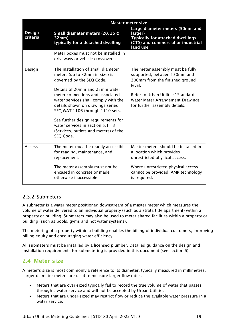|                    | <b>Master meter size</b>                                                                                                                                                                                                                                                                                                                                                                                                |                                                                                                                                                                                                                         |  |  |  |  |
|--------------------|-------------------------------------------------------------------------------------------------------------------------------------------------------------------------------------------------------------------------------------------------------------------------------------------------------------------------------------------------------------------------------------------------------------------------|-------------------------------------------------------------------------------------------------------------------------------------------------------------------------------------------------------------------------|--|--|--|--|
| Design<br>criteria | Small diameter meters (20, 25 &<br>32mm)<br>typically for a detached dwelling                                                                                                                                                                                                                                                                                                                                           | Large diameter meters (50mm and<br>larger)<br><b>Typically for attached dwellings</b><br>(CTS) and commercial or industrial<br>land use                                                                                 |  |  |  |  |
|                    | Meter boxes must not be installed in<br>driveways or vehicle crossovers.                                                                                                                                                                                                                                                                                                                                                |                                                                                                                                                                                                                         |  |  |  |  |
| Design             | The installation of small diameter<br>meters (up to 32mm in size) is<br>governed by the SEQ Code.<br>Details of 20mm and 25mm water<br>meter connections and associated<br>water services shall comply with the<br>details shown on drawings series<br>SEQ-WAT-1106 through 1110 sets.<br>See further design requirements for<br>water services in section 5.11.3<br>(Services, outlets and meters) of the<br>SEQ Code. | The meter assembly must be fully<br>supported, between 150mm and<br>300mm from the finished ground<br>level.<br>Refer to Urban Utilities' Standard<br>Water Meter Arrangement Drawings<br>for further assembly details. |  |  |  |  |
| <b>Access</b>      | The meter must be readily accessible<br>for reading, maintenance, and<br>replacement.<br>The meter assembly must not be<br>encased in concrete or made<br>otherwise inaccessible.                                                                                                                                                                                                                                       | Master meters should be installed in<br>a location which provides<br>unrestricted physical access.<br>Where unrestricted physical access<br>cannot be provided, AMR technology<br>is required.                          |  |  |  |  |

#### <span id="page-18-0"></span>2.3.2 Submeters

A submeter is a water meter positioned downstream of a master meter which measures the volume of water delivered to an individual property (such as a strata title apartment) within a property or building. Submeters may also be used to meter shared facilities within a property or building (such as pools, gyms and hot water systems).

The metering of a property within a building enables the billing of individual customers, improving billing equity and encouraging water efficiency.

All submeters must be installed by a licensed plumber. Detailed guidance on the design and installation requirements for submetering is provided in this document (see section [6\)](#page-39-2).

# <span id="page-18-1"></span>2.4 Meter size

A meter's size is most commonly a reference to its diameter, typically measured in millimetres. Larger diameter meters are used to measure larger flow rates.

- Meters that are over-sized typically fail to record the true volume of water that passes through a water service and will not be accepted by Urban Utilities.
- Meters that are under-sized may restrict flow or reduce the available water pressure in a water service.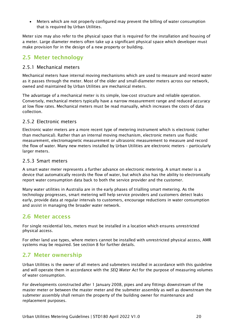• Meters which are not properly configured may prevent the billing of water consumption that is required by Urban Utilities.

Meter size may also refer to the physical space that is required for the installation and housing of a meter. Large diameter meters often take up a significant physical space which developer must make provision for in the design of a new property or building.

# <span id="page-19-0"></span>2.5 Meter technology

#### <span id="page-19-1"></span>2.5.1 Mechanical meters

Mechanical meters have internal moving mechanisms which are used to measure and record water as it passes through the meter. Most of the older and small-diameter meters across our network, owned and maintained by Urban Utilities are mechanical meters.

The advantage of a mechanical meter is its simple, low-cost structure and reliable operation. Conversely, mechanical meters typically have a narrow measurement range and reduced accuracy at low flow rates. Mechanical meters must be read manually, which increases the costs of data collection.

#### <span id="page-19-2"></span>2.5.2 Electronic meters

Electronic water meters are a more recent type of metering instrument which is electronic (rather than mechanical). Rather than an internal moving mechanism, electronic meters use fluidic measurement, electromagnetic measurement or ultrasonic measurement to measure and record the flow of water. Many new meters installed by Urban Utilities are electronic meters – particularly larger meters.

#### <span id="page-19-3"></span>2.5.3 Smart meters

A smart water meter represents a further advance on electronic metering. A smart meter is a device that automatically records the flow of water, but which also has the ability to electronically report water consumption data back to both the service provider and the customer.

Many water utilities in Australia are in the early phases of trialling smart metering. As the technology progresses, smart metering will help service providers and customers detect leaks early, provide data at regular intervals to customers, encourage reductions in water consumption and assist in managing the broader water network.

# <span id="page-19-4"></span>2.6 Meter access

For single residential lots, meters must be installed in a location which ensures unrestricted physical access.

For other land use types, where meters cannot be installed with unrestricted physical access, AMR systems may be required. See section [8](#page-50-0) for further details.

# <span id="page-19-5"></span>2.7 Meter ownership

Urban Utilities is the owner of all meters and submeters installed in accordance with this guideline and will operate them in accordance with the *SEQ Water Act* for the purpose of measuring volumes of water consumption.

For developments constructed after 1 January 2008, pipes and any fittings downstream of the master meter or between the master meter and the submeter assembly as well as downstream the submeter assembly shall remain the property of the building owner for maintenance and replacement purposes.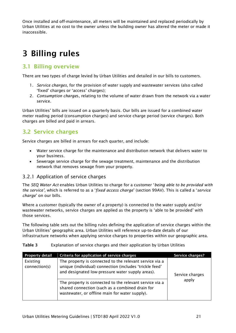Once installed and off-maintenance, all meters will be maintained and replaced periodically by Urban Utilities at no cost to the owner unless the building owner has altered the meter or made it inaccessible.

# <span id="page-20-0"></span>3 Billing rules

#### <span id="page-20-1"></span>3.1 Billing overview

There are two types of charge levied by Urban Utilities and detailed in our bills to customers.

- 1. *Service charges*, for the provision of water supply and wastewater services (also called 'fixed' charges or 'access' charges);
- 2. *Consumption charge*s, relating to the volume of water drawn from the network via a water service.

Urban Utilities' bills are issued on a quarterly basis. Our bills are issued for a combined water meter reading period (consumption charges) and service charge period (service charges). Both charges are billed and paid in arrears.

# <span id="page-20-2"></span>3.2 Service charges

Service charges are billed in arrears for each quarter, and include:

- Water service charge for the maintenance and distribution network that delivers water to your business.
- Sewerage service charge for the sewage treatment, maintenance and the distribution network that removes sewage from your property.

#### <span id="page-20-3"></span>3.2.1 Application of service charges

The *SEQ Water Act* enables Urban Utilities to charge for a customer '*being able to be provided with the service',* which is referred to as a '*fixed access charge*' (section 99AV). This is called a '*service charge*' on our bills.

Where a customer (typically the owner of a property) is connected to the water supply and/or wastewater networks, service charges are applied as the property is 'able to be provided' with those services.

The following table sets out the billing rules defining the application of service charges within the Urban Utilities' geographic area. Urban Utilities will reference up-to-date details of our infrastructure networks when applying service charges to properties within our geographic area.

#### <span id="page-20-4"></span>Table 3 Explanation of service charges and their application by Urban Utilities

| <b>Property detail</b>    | Criteria for application of service charges                                                                                                                                               | Service charges? |
|---------------------------|-------------------------------------------------------------------------------------------------------------------------------------------------------------------------------------------|------------------|
| Existing<br>connection(s) | The property is connected to the relevant service via a<br>unique (individual) connection (includes 'trickle feed'<br>and designated low-pressure water supply areas).<br>Service charges |                  |
|                           | The property is connected to the relevant service via a<br>shared connection (such as a combined drain for<br>wastewater, or offline main for water supply).                              | apply            |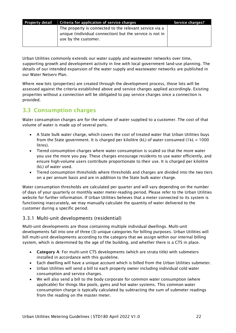| Property detail | Criteria for application of service charges                                      | Service charges? |
|-----------------|----------------------------------------------------------------------------------|------------------|
|                 | The property is connected to the relevant service via a                          |                  |
|                 | unique (individual connection) but the service is not in<br>use by the customer. |                  |
|                 |                                                                                  |                  |

Urban Utilities commonly extends our water supply and wastewater networks over time, supporting growth and development activity in line with local government land-use planning. The details of our intended expansion of the water supply and wastewater networks are published in our Water Netserv Plan.

Where *new* lots (properties) are created through the development process, those lots will be assessed against the criteria established above and service charges applied accordingly. Existing properties without a connection will be obligated to pay service charges once a connection is provided.

# <span id="page-21-0"></span>3.3 Consumption charges

Water consumption charges are for the volume of water supplied to a customer. The cost of that volume of water is made up of several parts.

- A State bulk water charge, which covers the cost of treated water that Urban Utilities buys from the State government. It is charged per kilolitre (kL) of water consumed  $(1kL = 1000$ litres).
- Tiered consumption charges where water consumption is scaled so that the more water you use the more you pay. These charges encourage residents to use water efficiently, and ensure high-volume users contribute proportionate to their use. It is charged per kilolitre (kL) of water used.
- Tiered consumption thresholds where thresholds and charges are divided into the two tiers on a per annum basis and are in addition to the State bulk water charge.

Water consumption thresholds are calculated per quarter and will vary depending on the number of days of your quarterly or monthly water meter-reading period. Please refer to the Urban Utilities website for further information. If Urban Utilities believes that a meter connected to its system is functioning inaccurately, we may manually calculate the quantity of water delivered to the customer during a specific period.

#### <span id="page-21-1"></span>3.3.1 Multi-unit developments (residential)

Multi-unit developments are those containing multiple individual dwellings. Multi-unit developments fall into one of three (3) unique categories for billing purposes. Urban Utilities will bill multi-unit developments according to the category that we assign within our internal billing system, which is determined by the age of the building, and whether there is a CTS in place.

- Category A: For multi-unit CTS developments (which are strata title) with submeters installed in accordance with this guideline.
- Each dwelling will have a unique account which is billed from the Urban Utilities submeter.
- Urban Utilities will send a bill to each property owner including individual cold water consumption and service charges.
- We will also send a bill to the body corporate for common water consumption (where applicable) for things like pools, gyms and hot water systems. This common water consumption charge is typically calculated by subtracting the sum of submeter readings from the reading on the master meter.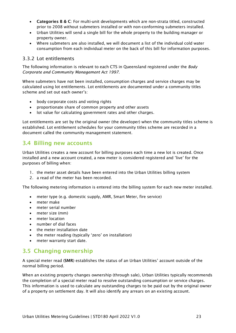- Categories B & C: For multi-unit developments which are non-strata titled, constructed prior to 2008 without submeters installed or with non-conforming submeters installed.
- Urban Utilities will send a single bill for the whole property to the building manager or property owner.
- Where submeters are also installed, we will document a list of the individual cold water consumption from each individual meter on the back of this bill for information purposes.

#### <span id="page-22-0"></span>3.3.2 Lot entitlements

The following information is relevant to each CTS in Queensland registered under the *Body Corporate and Community Management Act 1997*.

Where submeters have not been installed, consumption charges and service charges may be calculated using lot entitlements. Lot entitlements are documented under a community titles scheme and set out each owner's:

- body corporate costs and voting rights
- proportionate share of common property and other assets
- lot value for calculating government rates and other charges.

Lot entitlements are set by the original owner (the developer) when the community titles scheme is established. Lot entitlement schedules for your community titles scheme are recorded in a document called the community management statement.

## <span id="page-22-1"></span>3.4 Billing new accounts

Urban Utilities creates a new account for billing purposes each time a new lot is created. Once installed and a new account created, a new meter is considered registered and 'live' for the purposes of billing when:

- 1. the meter asset details have been entered into the Urban Utilities billing system
- 2. a read of the meter has been recorded.

The following metering information is entered into the billing system for each new meter installed.

- meter type (e.g. domestic supply, AMR, Smart Meter, fire service)
- meter make
- meter serial number
- meter size (mm)
- meter location
- number of dial faces
- the meter installation date
- the meter reading (typically 'zero' on installation)
- meter warranty start date.

# <span id="page-22-2"></span>3.5 Changing ownership

A special meter read (SMR) establishes the status of an Urban Utilities' account outside of the normal billing period.

When an existing property changes ownership (through sale), Urban Utilities typically recommends the completion of a special meter read to resolve outstanding consumption or service charges. This information is used to calculate any outstanding charges to be paid out by the original owner of a property on settlement day. It will also identify any arrears on an existing account.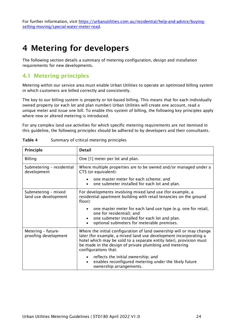For further information, visit [https://urbanutilities.com.au/residential/help-and-advice/buying](https://urbanutilities.com.au/residential/help-and-advice/buying-selling-moving/special-water-meter-read)[selling-moving/special-water-meter-read.](https://urbanutilities.com.au/residential/help-and-advice/buying-selling-moving/special-water-meter-read)

# <span id="page-23-0"></span>4 Metering for developers

The following section details a summary of metering configuration, design and installation requirements for new developments.

# <span id="page-23-1"></span>4.1 Metering principles

Metering within our service area must enable Urban Utilities to operate an optimised billing system in which customers are billed correctly and consistently.

The key to our billing system is property or lot-based billing. This means that for each individually owned property (or each lot and plan number) Urban Utilities will create one account, read a unique meter and issue one bill. To enable this system of billing, the following key principles apply where new or altered metering is introduced.

For any complex land use activities for which specific metering requirements are not itemised in this guideline, the following principles should be adhered to by developers and their consultants.

| Principle                                   | <b>Detail</b>                                                                                                                                                                                                                                                                                     |  |  |  |
|---------------------------------------------|---------------------------------------------------------------------------------------------------------------------------------------------------------------------------------------------------------------------------------------------------------------------------------------------------|--|--|--|
| <b>Billing</b>                              | One [1] meter per lot and plan.                                                                                                                                                                                                                                                                   |  |  |  |
| Submetering - residential<br>development    | Where multiple properties are to be owned and/or managed under a<br>CTS (or equivalent):                                                                                                                                                                                                          |  |  |  |
|                                             | • one master meter for each scheme; and<br>one submeter installed for each lot and plan.<br>$\bullet$                                                                                                                                                                                             |  |  |  |
| Submetering - mixed<br>land use development | For developments involving mixed land use (for example, a<br>residential apartment building with retail tenancies on the ground<br>floor):                                                                                                                                                        |  |  |  |
|                                             | one master meter for each land use type (e.g. one for retail,<br>$\bullet$<br>one for residential); and<br>one submeter installed for each lot and plan.<br>$\bullet$<br>optional submeters for meterable premises.                                                                               |  |  |  |
| Metering - future-<br>proofing development  | Where the initial configuration of land ownership will or may change<br>later (for example, a mixed land use development incorporating a<br>hotel which may be sold to a separate entity later), provision must<br>be made in the design of private plumbing and metering<br>configurations that: |  |  |  |
|                                             | • reflects the initial ownership; and<br>enables reconfigured metering under the likely future<br>$\bullet$<br>ownership arrangements.                                                                                                                                                            |  |  |  |

<span id="page-23-2"></span>

| Table 4 |  | Summary of critical metering principles |
|---------|--|-----------------------------------------|
|---------|--|-----------------------------------------|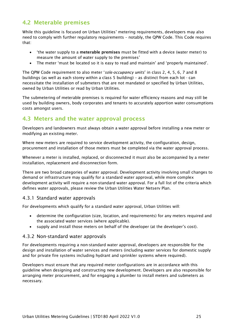# <span id="page-24-0"></span>4.2 Meterable premises

While this guideline is focused on Urban Utilities' metering requirements, developers may also need to comply with further regulatory requirements – notably, the QPW Code. This Code requires that:

- 'the water supply to a meterable premises must be fitted with a device (water meter) to measure the amount of water supply to the premises'
- The meter 'must be located so it is easy to read and maintain' and 'properly maintained'.

The QPW Code requirement to also meter '*sole-occupancy units*' in class 2, 4, 5, 6, 7 and 8 buildings (as well as each storey within a class 5 building) – as distinct from each lot - can necessitate the installation of submeters that are not mandated or specified by Urban Utilities, owned by Urban Utilities or read by Urban Utilities.

The submetering of meterable premises is required for water efficiency reasons and may still be used by building owners, body corporates and tenants to accurately apportion water consumptions costs amongst users.

# <span id="page-24-1"></span>4.3 Meters and the water approval process

Developers and landowners must always obtain a water approval before installing a new meter or modifying an existing meter.

Where new meters are required to service development activity, the configuration, design, procurement and installation of those meters must be completed via the water approval process.

Whenever a meter is installed, replaced, or disconnected it must also be accompanied by a meter installation, replacement and disconnection form.

There are two broad categories of water approval. Development activity involving small changes to demand or infrastructure may qualify for a standard water approval, while more complex development activity will require a non-standard water approval. For a full list of the criteria which defines water approvals, please review the Urban Utilities Water Netserv Plan.

#### <span id="page-24-2"></span>4.3.1 Standard water approvals

For developments which qualify for a standard water approval, Urban Utilities will:

- determine the configuration (size, location, and requirements) for any meters required and the associated water services (where applicable).
- supply and install those meters on behalf of the developer (at the developer's cost).

#### <span id="page-24-3"></span>4.3.2 Non-standard water approvals

For developments requiring a non-standard water approval, developers are responsible for the design and installation of water services and meters (including water services for domestic supply and for private fire systems including hydrant and sprinkler systems where required).

Developers must ensure that any required meter configurations are in accordance with this guideline when designing and constructing new development. Developers are also responsible for arranging meter procurement, and for engaging a plumber to install meters and submeters as necessary.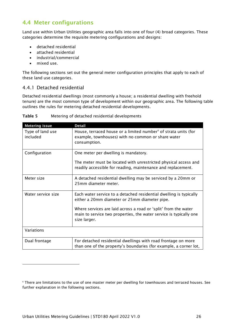# <span id="page-25-0"></span>4.4 Meter configurations

Land use within Urban Utilities geographic area falls into one of four (4) broad categories. These categories determine the requisite metering configurations and designs:

- detached residential
- attached residential
- industrial/commercial
- mixed use.

The following sections set out the general meter configuration principles that apply to each of these land use categories.

#### <span id="page-25-1"></span>4.4.1 Detached residential

Detached residential dwellings (most commonly a house; a residential dwelling with freehold tenure) are the most common type of development within our geographic area. The following table outlines the rules for metering detached residential developments.

| <b>Metering issue</b>        | <b>Detail</b>                                                                                                                                         |
|------------------------------|-------------------------------------------------------------------------------------------------------------------------------------------------------|
| Type of land use<br>included | House, terraced house or a limited number <sup>6</sup> of strata units (for<br>example, townhouses) with no common or share water<br>consumption.     |
| Configuration                | One meter per dwelling is mandatory.                                                                                                                  |
|                              | The meter must be located with unrestricted physical access and<br>readily accessible for reading, maintenance and replacement.                       |
| Meter size                   | A detached residential dwelling may be serviced by a 20mm or<br>25mm diameter meter.                                                                  |
| Water service size           | Each water service to a detached residential dwelling is typically<br>either a 20mm diameter or 25mm diameter pipe.                                   |
|                              | Where services are laid across a road or 'split' from the water<br>main to service two properties, the water service is typically one<br>size larger. |
| Variations                   |                                                                                                                                                       |
| Dual frontage                | For detached residential dwellings with road frontage on more<br>than one of the property's boundaries (for example, a corner lot,                    |

<span id="page-25-2"></span>Table 5 Metering of detached residential developments

<span id="page-25-3"></span><sup>&</sup>lt;sup>6</sup> There are limitations to the use of one master meter per dwelling for townhouses and terraced houses. See further explanation in the following sections.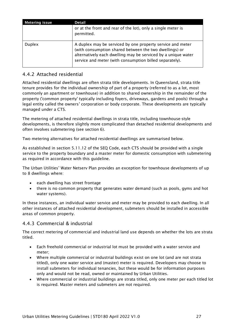| <b>Metering issue</b> | <b>Detail</b>                                                                                                                                                                                                                                    |
|-----------------------|--------------------------------------------------------------------------------------------------------------------------------------------------------------------------------------------------------------------------------------------------|
|                       | or at the front and rear of the lot), only a single meter is<br>permitted.                                                                                                                                                                       |
| <b>Duplex</b>         | A duplex may be serviced by one property service and meter<br>(with consumption shared between the two dwellings) or<br>alternatively each dwelling may be serviced by a unique water<br>service and meter (with consumption billed separately). |

#### <span id="page-26-0"></span>4.4.2 Attached residential

Attached residential dwellings are often strata title developments. In Queensland, strata title tenure provides for the individual ownership of part of a property (referred to as a lot, most commonly an apartment or townhouse) in addition to shared ownership in the remainder of the property ('common property' typically including foyers, driveways, gardens and pools) through a legal entity called the owners' corporation or body corporate. These developments are typically managed under a CTS.

The metering of attached residential dwellings in strata title, including townhouse-style developments, is therefore slightly more complicated than detached residential developments and often involves submetering (see section [6\)](#page-39-2).

Two metering alternatives for attached residential dwellings are summarised below.

As established in section 5.11.12 of the SEQ Code, each CTS should be provided with a single service to the property boundary and a master meter for domestic consumption with submetering as required in accordance with this guideline.

The Urban Utilities' Water Netserv Plan provides an exception for townhouse developments of up to 8 dwellings where:

- each dwelling has street frontage
- there is no common property that generates water demand (such as pools, gyms and hot water systems).

In these instances, an individual water service and meter may be provided to each dwelling. In all other instances of attached residential development, submeters should be installed in accessible areas of common property.

#### <span id="page-26-1"></span>4.4.3 Commercial & industrial

The correct metering of commercial and industrial land use depends on whether the lots are strata titled.

- Each freehold commercial or industrial lot must be provided with a water service and meter;
- Where multiple commercial or industrial buildings exist on one lot (and are not strata titled), only one water service and (master) meter is required. Developers may choose to install submeters for individual tenancies, but these would be for information purposes only and would not be read, owned or maintained by Urban Utilities.
- Where commercial or industrial buildings are strata titled, only one meter per each titled lot is required. Master meters and submeters are not required.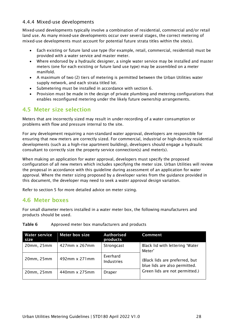#### <span id="page-27-0"></span>4.4.4 Mixed-use developments

Mixed-used developments typically involve a combination of residential, commercial and/or retail land use. As many mixed-use developments occur over several stages, the correct metering of mixed-use developments must account for potential future strata titles within the site(s).

- Each existing or future land use type (for example, retail, commercial, residential) must be provided with a water service and master meter.
- Where endorsed by a hydraulic designer, a single water service may be installed and master meters (one for each existing or future land use type) may be assembled on a meter manifold.
- A maximum of two (2) tiers of metering is permitted between the Urban Utilities water supply network, and each strata titled lot.
- Submetering must be installed in accordance with section [6.](#page-39-2)
- Provision must be made in the design of private plumbing and metering configurations that enables reconfigured metering under the likely future ownership arrangements.

# <span id="page-27-1"></span>4.5 Meter size selection

Meters that are incorrectly sized may result in under-recording of a water consumption or problems with flow and pressure internal to the site.

For any development requiring a non-standard water approval, developers are responsible for ensuring that new meters are correctly sized. For commercial, industrial or high-density residential developments (such as a high-rise apartment building), developers should engage a hydraulic consultant to correctly size the property service connection(s) and meter(s).

When making an application for water approval, developers must specify the proposed configuration of all new meters which includes specifying the meter size. Urban Utilities will review the proposal in accordance with this guideline during assessment of an application for water approval. Where the meter sizing proposed by a developer varies from the guidance provided in this document, the developer may need to seek a water approval design variation.

Refer to section [5](#page-35-1) for more detailed advice on meter sizing.

#### <span id="page-27-2"></span>4.6 Meter boxes

For small diameter meters installed in a water meter box, the following manufacturers and products should be used.

| <b>Water service</b><br>size | <b>Meter box size</b> | <b>Authorised</b><br>products | <b>Comment</b>                                                  |
|------------------------------|-----------------------|-------------------------------|-----------------------------------------------------------------|
| 20mm, 25mm                   | 427mm x 267mm         | Strongcast                    | Black lid with lettering 'Water<br>Meter'                       |
| 20mm, 25mm                   | 492mm x 271mm         | Everhard<br>Industries        | (Black lids are preferred, but<br>blue lids are also permitted. |
| 20mm, 25mm                   | 440mm x 275mm         | <b>Draper</b>                 | Green lids are not permitted.)                                  |

#### <span id="page-27-3"></span>Table 6 Approved meter box manufacturers and products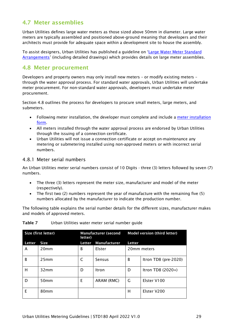# <span id="page-28-0"></span>4.7 Meter assemblies

Urban Utilities defines large water meters as those sized above 50mm in diameter. Large water meters are typically assembled and positioned above-ground meaning that developers and their architects must provide for adequate space within a development site to house the assembly.

To assist designers, Urban Utilities has published a guideline on ['Large Water Meter Standard](https://urbanutilities.com.au/development/our-services/large-water-meter-orders)  [Arrangements'](https://urbanutilities.com.au/development/our-services/large-water-meter-orders) (including detailed drawings) which provides details on large meter assemblies.

## <span id="page-28-1"></span>4.8 Meter procurement

Developers and property owners may only install new meters – or modify existing meters – through the water approval process. For standard water approvals, Urban Utilities will undertake meter procurement. For non-standard water approvals, developers must undertake meter procurement.

Section [4.8](#page-28-1) outlines the process for developers to procure small meters, large meters, and submeters.

- Following meter installation, the developer must complete and include a [meter installation](https://urbanutilities.com.au/development/help-and-advice/development-forms)  [form.](https://urbanutilities.com.au/development/help-and-advice/development-forms)
- All meters installed through the water approval process are endorsed by Urban Utilities through the issuing of a connection certificate.
- Urban Utilities will not issue a connection certificate or accept on-maintenance any metering or submetering installed using non-approved meters or with incorrect serial numbers.

#### <span id="page-28-2"></span>4.8.1 Meter serial numbers

An Urban Utilities meter serial numbers consist of 10 Digits - three (3) letters followed by seven (7) numbers.

- The three (3) letters represent the meter size, manufacturer and model of the meter (respectively).
- The first two (2) numbers represent the year of manufacture with the remaining five (5) numbers allocated by the manufacturer to indicate the production number.

The following table explains the serial number details for the different sizes, manufacturer makes and models of approved meters.

| Size (first letter) |                  | <b>Manufacturer (second</b><br>letter) |                     | <b>Model version (third letter)</b> |                      |
|---------------------|------------------|----------------------------------------|---------------------|-------------------------------------|----------------------|
| Letter              | <b>Size</b>      | <b>Letter</b>                          | <b>Manufacturer</b> | <b>Letter</b>                       |                      |
| A                   | 20 <sub>mm</sub> | B                                      | Elster              | 20mm meters                         |                      |
| B                   | 25mm             | C                                      | Sensus              | B                                   | Itron TD8 (pre-2020) |
| н                   | 32mm             | D                                      | Itron               | D                                   | Itron TD8 (2020+)    |
| D                   | 50 <sub>mm</sub> | E                                      | ARAM (RMC)          | G                                   | Elster V100          |
| F                   | 80 <sub>mm</sub> |                                        |                     | н                                   | Elster V200          |

#### <span id="page-28-3"></span>Table 7 Urban Utilities water meter serial number guide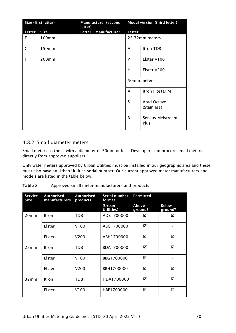|        | Size (first letter) | letter) | <b>Manufacturer (second</b> | <b>Model version (third letter)</b> |                                   |
|--------|---------------------|---------|-----------------------------|-------------------------------------|-----------------------------------|
| Letter | <b>Size</b>         | Letter  | Manufacturer                | Letter                              |                                   |
| F      | 100mm               |         |                             |                                     | 25-32mm meters                    |
| G      | 150mm               |         |                             | A                                   | Itron TD8                         |
|        | 200mm               |         |                             | P                                   | Elster V100                       |
|        |                     |         |                             | H                                   | Elster V200                       |
|        |                     |         |                             |                                     | 50mm meters                       |
|        |                     |         |                             | A                                   | Itron Flostar M                   |
|        |                     |         |                             | S                                   | <b>Arad Octave</b><br>(Stainless) |
|        |                     |         |                             | B                                   | Sensus Meistream<br>Plus          |

#### <span id="page-29-0"></span>4.8.2 Small diameter meters

Small meters as those with a diameter of 50mm or less. Developers can procure small meters directly from approved suppliers.

Only water meters approved by Urban Utilities must be installed in our geographic area and these must also have an Urban Utilities serial number. Our current approved meter manufacturers and models are listed in the table below.

<span id="page-29-1"></span>

| Table 8 |  | Approved small meter manufacturers and products |  |
|---------|--|-------------------------------------------------|--|
|---------|--|-------------------------------------------------|--|

| <b>Service</b><br>Size | <b>Authorised</b><br>manufacturers | <b>Authorised</b><br>products | Serial number<br>format | Permitted        |                         |
|------------------------|------------------------------------|-------------------------------|-------------------------|------------------|-------------------------|
|                        |                                    |                               | (Urban<br>Utilities)    | Above<br>ground? | <b>Below</b><br>ground? |
| 20 <sub>mm</sub>       | Itron                              | TD <sub>8</sub>               | ADB1700000              | ☑                | ☑                       |
|                        | Elster                             | V <sub>100</sub>              | ABG1700000              | ☑                |                         |
|                        | Elster                             | V <sub>200</sub>              | ABH1700000              | ☑                | ☑                       |
| 25mm                   | Itron                              | TD8                           | BDA1700000              | ☑                | ☑                       |
|                        | Elster                             | V100                          | BBG1700000              | ☑                |                         |
|                        | Elster                             | V200                          | BBH1700000              | ☑                | ☑                       |
| 32mm                   | Itron                              | TD <sub>8</sub>               | HDA1700000              | ☑                | ☑                       |
|                        | Elster                             | V <sub>100</sub>              | HBP1700000              | ☑                | ☑                       |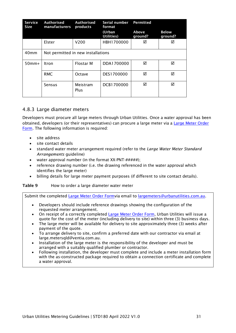| <b>Service</b><br><b>Size</b> | Authorised<br>manufacturers        | Authorised<br>products | Serial number<br>format | <b>Permitted</b> |                         |
|-------------------------------|------------------------------------|------------------------|-------------------------|------------------|-------------------------|
|                               |                                    |                        | (Urban<br>Utilities)    | Above<br>ground? | <b>Below</b><br>ground? |
|                               | Elster                             | V <sub>200</sub>       | HBH1700000              | ☑                | ☑                       |
| 40 <sub>mm</sub>              | Not permitted in new installations |                        |                         |                  |                         |
| $50mm+$                       | Itron                              | <b>Flostar M</b>       | DDA1700000              | ☑                | ☑                       |
|                               | RMC                                | Octave                 | DES1700000              | ☑                | ☑                       |
|                               | Sensus                             | Meistram<br>Plus       | DCB1700000              | ☑                | ☑                       |

#### <span id="page-30-0"></span>4.8.3 Large diameter meters

Developers must procure all large meters through Urban Utilities. Once a water approval has been obtained, developers (or their representatives) can procure a large meter via a [Large Meter Order](https://urbanutilities.com.au/development/help-and-advice/development-forms)  [Form.](https://urbanutilities.com.au/development/help-and-advice/development-forms) The following information is required:

- site address
- site contact details
- standard water meter arrangement required (refer to the *Large Water Meter Standard Arrangements* guideline)
- water approval number (in the format  $XX-PNT-\#+\#+\#$ );
- reference drawing number (i.e. the drawing referenced in the water approval which identifies the large meter)
- billing details for large meter payment purposes (if different to site contact details).

#### <span id="page-30-1"></span>Table 9 How to order a large diameter water meter

Submit the completed [Large Meter Order Formv](https://urbanutilities.com.au/development/help-and-advice/development-forms)ia email to [largemeters@urbanutilities.com.au.](mailto:largemeters@urbanutilities.com.au)

- Developers should include reference drawings showing the configuration of the requested meter arrangement.
- On receipt of a correctly completed [Large Meter Order Form,](https://urbanutilities.com.au/development/help-and-advice/development-forms) Urban Utilities will issue a quote for the cost of the meter (including delivery to site) within three (3) business days.
- The large meter will be available for delivery to site approximately three (3) weeks after payment of the quote.
- To arrange delivery to site, confirm a preferred date with our contractor via email at large.metersqld@ventia.com.au.
- Installation of the large meter is the responsibility of the developer and must be arranged with a suitably qualified plumber or contractor.
- Following installation, the developer must complete and include a meter installation form with the as-constructed package required to obtain a connection certificate and complete a water approval.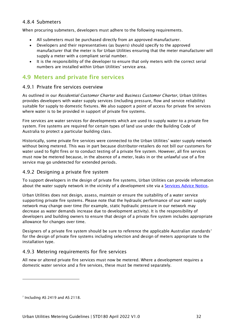#### <span id="page-31-0"></span>4.8.4 Submeters

When procuring submeters, developers must adhere to the following requirements.

- All submeters must be purchased directly from an approved manufacturer.
- Developers and their representatives (as buyers) should specify to the approved manufacturer that the meter is for Urban Utilities ensuring that the meter manufacturer will supply a meter with a compliant serial number.
- It is the responsibility of the developer to ensure that only meters with the correct serial numbers are installed within Urban Utilities' service area.

# <span id="page-31-1"></span>4.9 Meters and private fire services

#### <span id="page-31-2"></span>4.9.1 Private fire services overview

As outlined in our *Residential Customer Charter* and *Business Customer Charter*, Urban Utilities provides developers with water supply services (including pressure, flow and service reliability) suitable for supply to domestic fixtures. We also support a point of access for private fire services where water is to be provided in support of private fire systems.

Fire services are water services for developments which are used to supply water to a private fire system. Fire systems are required for certain types of land use under the Building Code of Australia to protect a particular building class.

Historically, some private fire services were connected to the Urban Utilities' water supply network without being metered. This was in part because distributor-retailers do not bill our customers for water used to fight fires or to conduct testing of a private fire system. However, all fire services must now be metered because, in the absence of a meter, leaks in or the unlawful use of a fire service may go undetected for extended periods.

#### <span id="page-31-3"></span>4.9.2 Designing a private fire system

To support developers in the design of private fire systems, Urban Utilities can provide information about the water supply network in the vicinity of a development site via a [Services Advice Notice](https://urbanutilities.com.au/development/our-services/how-to-connect-water-and-sewerage/services-advice-notice).

Urban Utilities does not design, assess, maintain or ensure the suitability of a water service supporting private fire systems. Please note that the hydraulic performance of our water supply network may change over time (for example, static hydraulic pressure in our network may decrease as water demands increase due to development activity). It is the responsibility of developers and building owners to ensure that design of a private fire system includes appropriate allowance for changes over time.

Designers of a private fire system should be sure to reference the applicable Australian standards<sup>[7](#page-31-5)</sup> for the design of private fire systems including selection and design of meters appropriate to the installation type.

#### <span id="page-31-4"></span>4.9.3 Metering requirements for fire services

All new or altered private fire services must now be metered. Where a development requires a domestic water service and a fire services, these must be metered separately.

<span id="page-31-5"></span> $<sup>7</sup>$  Including AS 2419 and AS 2118.</sup>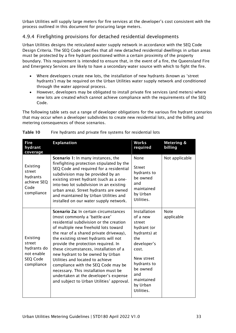Urban Utilities will supply large meters for fire services at the developer's cost consistent with the process outlined in this document for procuring large meters.

#### <span id="page-32-0"></span>4.9.4 Firefighting provisions for detached residential developments

Urban Utilities designs the reticulated water supply network in accordance with the SEQ Code Design Criteria. The SEQ Code specifies that all new detached residential dwellings in urban areas must be protected by a fire hydrant positioned within a certain proximity of the property boundary. This requirement is intended to ensure that, in the event of a fire, the Queensland Fire and Emergency Services are likely to have a secondary water source with which to fight the fire.

- Where developers create new lots, the installation of new hydrants (known as 'street hydrants') may be required on the Urban Utilities water supply network and conditioned through the water approval process.
- However, developers may be obligated to install private fire services (and meters) where new lots are created which cannot achieve compliance with the requirements of the SEQ Code.

The following table sets out a range of developer obligations for the various fire hydrant scenarios that may occur when a developer subdivides to create new residential lots, and the billing and metering consequences of those scenarios.

| <b>Fire</b><br>hydrant<br>coverage                                        | <b>Explanation</b>                                                                                                                                                                                                                                                                                                                                                                                                                                                                                                                                                          | <b>Works</b><br>required                                                                                                                                                                 | <b>Metering &amp;</b><br>billing |
|---------------------------------------------------------------------------|-----------------------------------------------------------------------------------------------------------------------------------------------------------------------------------------------------------------------------------------------------------------------------------------------------------------------------------------------------------------------------------------------------------------------------------------------------------------------------------------------------------------------------------------------------------------------------|------------------------------------------------------------------------------------------------------------------------------------------------------------------------------------------|----------------------------------|
| Existing<br>street<br>hydrants<br>achieve SEQ<br>Code<br>compliance       | <b>Scenario 1:</b> In many instances, the<br>firefighting protection stipulated by the<br>SEQ Code and required for a residential<br>subdivision may be provided by an<br>existing street hydrant (such as a one-<br>into-two lot subdivision in an existing<br>urban area). Street hydrants are owned<br>and maintained by Urban Utilities and<br>installed on our water supply network.                                                                                                                                                                                   | None<br><b>Street</b><br>hydrants to<br>be owned<br>and<br>maintained<br>by Urban<br>Utilities.                                                                                          | Not applicable                   |
| Existing<br>street<br>hydrants do<br>not enable<br>SEQ Code<br>compliance | Scenario 2a: In certain circumstances<br>(most commonly a 'battle-axe'<br>residential subdivision or the creation<br>of multiple new freehold lots toward<br>the rear of a shared private driveway),<br>the existing street hydrants will not<br>provide the protection required. In<br>these circumstances, installation of a<br>new hydrant to be owned by Urban<br>Utilities and located to achieve<br>compliance with the SEQ Code may be<br>necessary. This installation must be<br>undertaken at the developer's expense<br>and subject to Urban Utilities' approval. | Installation<br>of a new<br>street<br>hydrant (or<br>hydrants) at<br>the<br>developer's<br>cost.<br>New street<br>hydrants to<br>be owned<br>and<br>maintained<br>by Urban<br>Utilities. | <b>Note</b><br>applicable        |

#### <span id="page-32-1"></span>Table 10 Fire hydrants and private fire systems for residential lots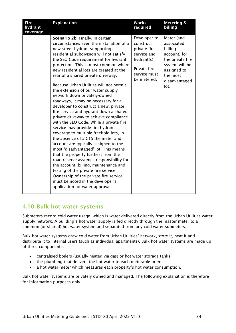| <b>Fire</b><br>hydrant<br>coverage | <b>Explanation</b>                                                                                                                                                                                                                                                                                                                                                                                                                                                                                                                                                                                                                                                                                                                                                                                                                                                                                                                                                                                                                                                                                                                                   | <b>Works</b><br>required                                                                                               | Metering &<br>billing                                                                                                                         |
|------------------------------------|------------------------------------------------------------------------------------------------------------------------------------------------------------------------------------------------------------------------------------------------------------------------------------------------------------------------------------------------------------------------------------------------------------------------------------------------------------------------------------------------------------------------------------------------------------------------------------------------------------------------------------------------------------------------------------------------------------------------------------------------------------------------------------------------------------------------------------------------------------------------------------------------------------------------------------------------------------------------------------------------------------------------------------------------------------------------------------------------------------------------------------------------------|------------------------------------------------------------------------------------------------------------------------|-----------------------------------------------------------------------------------------------------------------------------------------------|
|                                    | Scenario 2b: Finally, in certain<br>circumstances even the installation of a<br>new street hydrant supporting a<br>residential subdivision will not satisfy<br>the SEQ Code requirement for hydrant<br>protection. This is most common where<br>new residential lots are created at the<br>rear of a shared private driveway.<br>Because Urban Utilities will not permit<br>the extension of our water supply<br>network down privately-owned<br>roadways, it may be necessary for a<br>developer to construct a new, private<br>fire service and hydrant down a shared<br>private driveway to achieve compliance<br>with the SEQ Code. While a private fire<br>service may provide fire hydrant<br>coverage to multiple freehold lots, in<br>the absence of a CTS the meter and<br>account are typically assigned to the<br>most 'disadvantaged' lot. This means<br>that the property furthest from the<br>road reserve assumes responsibility for<br>the account, billing, maintenance and<br>testing of the private fire service.<br>Ownership of the private fire service<br>must be noted in the developer's<br>application for water approval. | Developer to<br>construct<br>private fire<br>service and<br>hydrant(s).<br>Private fire<br>service must<br>be metered. | Meter (and<br>associated<br>billing<br>account) for<br>the private fire<br>system will be<br>assigned to<br>the most<br>disadvantaged<br>lot. |

#### <span id="page-33-0"></span>4.10 Bulk hot water systems

Submeters record cold water usage, which is water delivered directly from the Urban Utilities water supply network. A building's hot water supply is fed directly through the master meter to a common (or shared) hot water system and separated from any cold water submeters.

Bulk hot water systems draw cold water from Urban Utilities' network, store it, heat it and distribute it to internal users (such as individual apartments). Bulk hot water systems are made up of three components:

- centralised boilers (usually heated via gas) or hot water storage tanks
- the plumbing that delivers the hot water to each meterable premise
- a hot water meter which measures each property's hot water consumption.

Bulk hot water systems are privately owned and managed. The following explanation is therefore for information purposes only.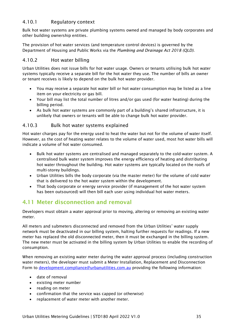#### <span id="page-34-0"></span>4.10.1 Regulatory context

Bulk hot water systems are private plumbing systems owned and managed by body corporates and other building ownership entities.

The provision of hot water services (and temperature control devices) is governed by the Department of Housing and Public Works via the *Plumbing and Drainage Act 2018 (QLD)*.

#### <span id="page-34-1"></span>4.10.2 Hot water billing

Urban Utilities does not issue bills for hot water usage. Owners or tenants utilising bulk hot water systems typically receive a separate bill for the hot water they use. The number of bills an owner or tenant receives is likely to depend on the bulk hot water provider.

- You may receive a separate hot water bill or hot water consumption may be listed as a line item on your electricity or gas bill.
- Your bill may list the total number of litres and/or gas used (for water heating) during the billing period.
- As bulk hot water systems are commonly part of a building's shared infrastructure, it is unlikely that owners or tenants will be able to change bulk hot water provider.

#### <span id="page-34-2"></span>4.10.3 Bulk hot water systems explained

Hot water charges pay for the energy used to heat the water but not for the volume of water itself. However, as the cost of heating water relates to the volume of water used, most hot water bills will indicate a volume of hot water consumed.

- Bulk hot water systems are centralised and managed separately to the cold-water system. A centralised bulk water system improves the energy efficiency of heating and distributing hot water throughout the building. Hot water systems are typically located on the roofs of multi-storey buildings.
- Urban Utilities bills the body corporate (via the master meter) for the volume of cold water that is delivered to the hot water system within the development.
- That body corporate or energy service provider (if management of the hot water system has been outsourced) will then bill each user using individual hot water meters.

# <span id="page-34-3"></span>4.11 Meter disconnection and removal

Developers must obtain a water approval prior to moving, altering or removing an existing water meter.

All meters and submeters disconnected and removed from the Urban Utilities' water supply network must be deactivated in our billing system, halting further requests for readings. If a new meter has replaced the old disconnected meter, then it must be exchanged in the billing system. The new meter must be activated in the billing system by Urban Utilities to enable the recording of consumption.

When removing an existing water meter during the water approval process (including construction water meters), the developer must submit a Meter Installation, Replacement and Disconnection Form to [development.compliance@urbanutilities.com.au](mailto:development.compliance@urbanutilities.com.au) providing the following information:

- date of removal
- existing meter number
- reading on meter
- confirmation that the service was capped (or otherwise)
- replacement of water meter with another meter.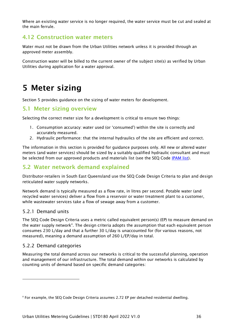Where an existing water service is no longer required, the water service must be cut and sealed at the main ferrule.

# <span id="page-35-0"></span>4.12 Construction water meters

Water must not be drawn from the Urban Utilities network unless it is provided through an approved meter assembly.

Construction water will be billed to the current owner of the subject site(s) as verified by Urban Utilities during application for a water approval.

# <span id="page-35-1"></span>5 Meter sizing

Section [5](#page-35-1) provides guidance on the sizing of water meters for development.

#### <span id="page-35-2"></span>5.1 Meter sizing overview

Selecting the correct meter size for a development is critical to ensure two things:

- 1. Consumption accuracy: water used (or 'consumed') within the site is correctly and accurately measured.
- 2. Hydraulic performance: that the internal hydraulics of the site are efficient and correct.

The information in this section is provided for guidance purposes only. All new or altered water meters (and water services) should be sized by a suitably qualified hydraulic consultant and must be selected from our approved products and materials list (see the SEQ Code [IPAM list\)](http://www.seqcode.com.au/products/).

## <span id="page-35-3"></span>5.2 Water network demand explained

Distributor-retailers in South East Queensland use the SEQ Code Design Criteria to plan and design reticulated water supply networks.

Network demand is typically measured as a flow rate, in litres per second. Potable water (and recycled water services) deliver a flow from a reservoir or water treatment plant to a customer, while wastewater services take a flow of sewage away from a customer.

#### <span id="page-35-4"></span>5.2.1 Demand units

The SEQ Code Design Criteria uses a metric called equivalent person(s) (EP) to measure demand on the water supply network<sup>[8](#page-35-6)</sup>. The design criteria adopts the assumption that each equivalent person consumes 230 L/day and that a further 30 L/day is unaccounted for (for various reasons, not measured), meaning a demand assumption of 260 L/EP/day in total.

#### <span id="page-35-5"></span>5.2.2 Demand categories

Measuring the total demand across our networks is critical to the successful planning, operation and management of our infrastructure. The total demand within our networks is calculated by counting units of demand based on specific demand categories:

<span id="page-35-6"></span><sup>8</sup> For example, the SEQ Code Design Criteria assumes 2.72 EP per detached residential dwelling.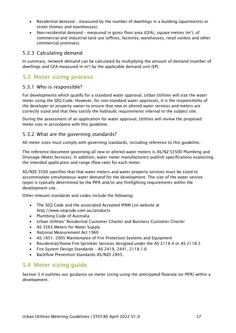- Residential demand measured by the number of dwellings in a building (apartments) or street (homes and townhouses).
- Non-residential demand measured in gross floor area (GFA), square metres (m<sup>2</sup>), of commercial and industrial land use (offices, factories, warehouses, retail outlets and other commercial premises).

#### <span id="page-36-0"></span>5.2.3 Calculating demand

In summary, network demand can be calculated by multiplying the amount of demand (number of dwellings and GFA measured in  $m^2$ ) by the applicable demand unit (EP).

# <span id="page-36-1"></span>5.3 Meter sizing process

#### <span id="page-36-2"></span>5.3.1 Who is responsible?

For developments which qualify for a standard water approval, Urban Utilities will size the water meter using the SEQ Code. However, for non-standard water approvals, it is the responsibility of the developer or property owner to ensure that new or altered water services and meters are correctly sized and that they satisfy the hydraulic requirements internal to the subject site.

During the assessment of an application for water approval, Utilities will review the proposed meter size in accordance with this guideline.

#### <span id="page-36-3"></span>5.3.2 What are the governing standards?

All meter sizes must comply with governing standards, including reference to this guideline.

The reference document governing all new or altered water meters is AS/NZ S3500 Plumbing and Drainage (Water Services). In addition, water meter manufacturers publish specifications explaining the intended application and range (flow rate) for each meter.

AS/NZS 3500 specifies that that water meters and water property services must be sized to accommodate simultaneous water demand for the development. The size of the water service (pipe) is typically determined by the PIFR and/or any firefighting requirements within the development site.

Other relevant standards and codes include the following:

- The SEQ Code and the associated Accepted IPAM List website at <http://www.seqcode.com.au/products>
- Plumbing Code of Australia
- Urban Utilities' Residential Customer Charter and Business Customer Charter
- AS 3565 Meters for Water Supply
- National Measurement Act 1960
- AS 1851: 2005 Maintenance of Fire Protection Systems and Equipment
- Residential/Home Fire Sprinkler Services designed under the AS 2118.4 or AS 2118.5
- Fire System Design Standards AS 2419, 2441, 2118.1-6
- Backflow Prevention Standards AS/NZS 2845.

#### <span id="page-36-4"></span>5.4 Meter sizing guide

Section [5.4](#page-36-4) outlines our guidance on meter sizing using the anticipated flowrate (or PIFR) within a development.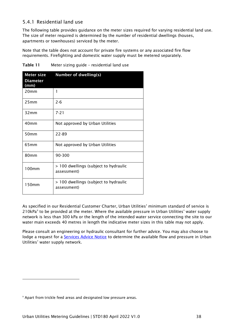#### <span id="page-37-0"></span>5.4.1 Residential land use

The following table provides guidance on the meter sizes required for varying residential land use. The size of meter required is determined by the number of residential dwellings (houses, apartments or townhouses) serviced by the meter.

Note that the table does not account for private fire systems or any associated fire flow requirements. Firefighting and domestic water supply must be metered separately.

| <b>Meter size</b><br><b>Diameter</b> | <b>Number of dwelling(s)</b>                         |
|--------------------------------------|------------------------------------------------------|
| (mm)                                 |                                                      |
| 20 <sub>mm</sub>                     | 1                                                    |
| 25mm                                 | $2 - 6$                                              |
| 32mm                                 | $7 - 21$                                             |
| 40 <sub>mm</sub>                     | Not approved by Urban Utilities                      |
| 50mm                                 | 22-89                                                |
| 65 <sub>mm</sub>                     | Not approved by Urban Utilities                      |
| 80mm                                 | 90-300                                               |
| $100$ mm                             | > 100 dwellings (subject to hydraulic<br>assessment) |
| 150mm                                | > 100 dwellings (subject to hydraulic<br>assessment) |

<span id="page-37-1"></span>Table 11 Meter sizing guide – residential land use

As specified in our Residential Customer Charter, Urban Utilities' minimum standard of service is 210kPa<sup>[9](#page-37-2)</sup> to be provided at the meter. Where the available pressure in Urban Utilities' water supply network is less than 300 kPa or the length of the intended water service connecting the site to our water main exceeds 40 metres in length the indicative meter sizes in this table may not apply.

Please consult an engineering or hydraulic consultant for further advice. You may also choose to lodge a request for a **Services Advice Notice** to determine the available flow and pressure in Urban Utilities' water supply network.

<span id="page-37-2"></span><sup>&</sup>lt;sup>9</sup> Apart from trickle feed areas and designated low pressure areas.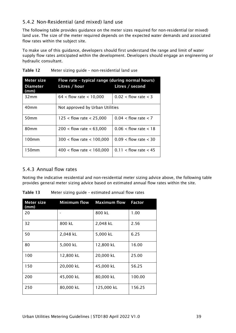#### <span id="page-38-0"></span>5.4.2 Non-Residential (and mixed) land use

The following table provides guidance on the meter sizes required for non-residential (or mixed) land use. The size of the meter required depends on the expected water demands and associated flow rates within the subject site.

To make use of this guidance, developers should first understand the range and limit of water supply flow rates anticipated within the development. Developers should engage an engineering or hydraulic consultant.

| Meter size              | Flow rate - typical range (during normal hours) |                           |  |  |
|-------------------------|-------------------------------------------------|---------------------------|--|--|
| <b>Diameter</b><br>(mm) | Litres / hour                                   | Litres / second           |  |  |
| 32mm                    | $64 <$ flow rate $<$ 10,000                     | $0.02 <$ flow rate $<$ 3  |  |  |
| 40mm                    | Not approved by Urban Utilities                 |                           |  |  |
| 50 <sub>mm</sub>        | $125 <$ flow rate $<$ 25,000                    | $0.04 <$ flow rate $<$ 7  |  |  |
| 80mm                    | $200 <$ flow rate $<$ 63,000                    | $0.06$ < flow rate < 18   |  |  |
| 100mm                   | $300 <$ flow rate $<$ 100,000                   | $0.09 <$ flow rate $<$ 30 |  |  |
| 150mm                   | $400 <$ flow rate $<$ 160,000                   | $0.11 <$ flow rate $<$ 45 |  |  |

<span id="page-38-2"></span>

| Table 12 |  | Meter sizing guide - non-residential land use |  |
|----------|--|-----------------------------------------------|--|
|          |  |                                               |  |

#### <span id="page-38-1"></span>5.4.3 Annual flow rates

Noting the indicative residential and non-residential meter sizing advice above, the following table provides general meter sizing advice based on estimated annual flow rates within the site.

| Meter size<br>(mm) | <b>Minimum flow</b> | <b>Maximum flow</b> | <b>Factor</b> |
|--------------------|---------------------|---------------------|---------------|
| 20                 |                     | 800 kL              | 1.00          |
| 32                 | 800 kL              | 2,048 kL            | 2.56          |
| 50                 | 2,048 kL            | 5,000 kL            | 6.25          |
| 80                 | 5,000 kL            | 12,800 kL           | 16.00         |
| 100                | 12,800 kL           | 20,000 kL           | 25.00         |
| 150                | 20,000 kL           | 45,000 kL           | 56.25         |
| 200                | 45,000 kL           | 80,000 kL           | 100.00        |
| 250                | 80,000 kL           | 125,000 kL          | 156.25        |

<span id="page-38-3"></span>Table 13 Meter sizing guide – estimated annual flow rates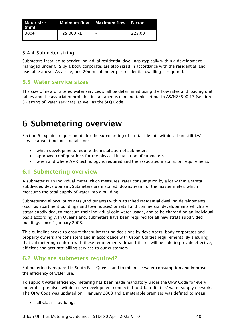| Meter size<br>(mm) |            | Minimum flow Maximum flow Factor |        |
|--------------------|------------|----------------------------------|--------|
| l 300+             | 125,000 kL | $\overline{\phantom{0}}$         | 225.00 |

#### <span id="page-39-0"></span>5.4.4 Submeter sizing

Submeters installed to service individual residential dwellings (typically within a development managed under CTS by a body corporate) are also sized in accordance with the residential land use table above. As a rule, one 20mm submeter per residential dwelling is required.

# <span id="page-39-1"></span>5.5 Water service sizes

The size of new or altered water services shall be determined using the flow rates and loading unit tables and the associated probable instantaneous demand table set out in AS/NZ3500 13 (section 3 - sizing of water services), as well as the SEQ Code.

# <span id="page-39-2"></span>6 Submetering overview

Section [6](#page-39-2) explains requirements for the submetering of strata title lots within Urban Utilities' service area. It includes details on:

- which developments require the installation of submeters
- approved configurations for the physical installation of submeters
- when and where AMR technology is required and the associated installation requirements.

# <span id="page-39-3"></span>6.1 Submetering overview

A submeter is an individual meter which measures water consumption by a lot within a strata subdivided development. Submeters are installed 'downstream' of the master meter, which measures the total supply of water into a building.

Submetering allows lot owners (and tenants) within attached residential dwelling developments (such as apartment buildings and townhouses) or retail and commercial developments which are strata subdivided, to measure their individual cold-water usage, and to be charged on an individual basis accordingly. In Queensland, submeters have been required for all new strata subdivided buildings since 1 January 2008.

This guideline seeks to ensure that submetering decisions by developers, body corporates and property owners are consistent and in accordance with Urban Utilities requirements. By ensuring that submetering conform with these requirements Urban Utilities will be able to provide effective, efficient and accurate billing services to our customers.

# <span id="page-39-4"></span>6.2 Why are submeters required?

Submetering is required in South East Queensland to minimise water consumption and improve the efficiency of water use.

To support water efficiency, metering has been made mandatory under the QPW Code for every meterable premises within a new development connected to Urban Utilities' water supply network. The QPW Code was updated on 1 January 2008 and a meterable premises was defined to mean:

• all Class 1 buildings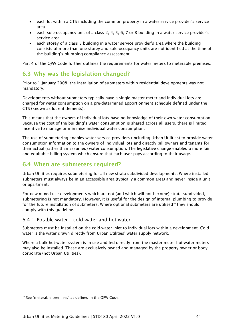- each lot within a CTS including the common property in a water service provider's service area
- each sole-occupancy unit of a class 2, 4, 5, 6, 7 or 8 building in a water service provider's service area
- each storey of a class 5 building in a water service provider's area where the building consists of more than one storey and sole-occupancy units are not identified at the time of the building's plumbing compliance assessment.

Part 4 of the QPW Code further outlines the requirements for water meters to meterable premises.

# <span id="page-40-0"></span>6.3 Why was the legislation changed?

Prior to 1 January 2008, the installation of submeters within residential developments was not mandatory.

Developments without submeters typically have a single master meter and individual lots are charged for water consumption on a pre-determined apportionment schedule defined under the CTS (known as lot entitlements).

This means that the owners of individual lots have no knowledge of their own water consumption. Because the cost of the building's water consumption is shared across all users, there is limited incentive to manage or minimise individual water consumption.

The use of submetering enables water service providers (including Urban Utilities) to provide water consumption information to the owners of individual lots and directly bill owners and tenants for their actual (rather than assumed) water consumption. The legislative change enabled a more fair and equitable billing system which ensure that each user pays according to their usage.

# <span id="page-40-1"></span>6.4 When are submeters required?

Urban Utilities requires submetering for all new strata subdivided developments. Where installed, submeters must always be in an accessible area (typically a common area) and never inside a unit or apartment.

For new mixed-use developments which are not (and which will not become) strata subdivided, submetering is not mandatory. However, it is useful for the design of internal plumbing to provide for the future installation of submeters. Where optional submeters are utilised<sup>[10](#page-40-3)</sup> they should comply with this guideline.

#### <span id="page-40-2"></span>6.4.1 Potable water – cold water and hot water

Submeters must be installed on the cold-water inlet to individual lots within a development. Cold water is the water drawn directly from Urban Utilities' water supply network.

Where a bulk hot-water system is in use and fed directly from the master meter hot-water meters may also be installed. These are exclusively owned and managed by the property owner or body corporate (not Urban Utilities).

<span id="page-40-3"></span><sup>&</sup>lt;sup>10</sup> See 'meterable premises' as defined in the QPW Code.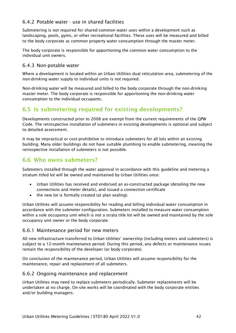#### <span id="page-41-0"></span>6.4.2 Potable water - use in shared facilities

Submetering is not required for shared common water uses within a development such as landscaping, pools, gyms, or other recreational facilities. These uses will be measured and billed to the body corporate as common property water consumption through the master meter.

The body corporate is responsible for apportioning the common water consumption to the individual unit owners.

#### <span id="page-41-1"></span>6.4.3 Non-potable water

Where a development is located within an Urban Utilities dual reticulation area, submetering of the non-drinking water supply to individual units is not required.

Non-drinking water will be measured and billed to the body corporate through the non-drinking master meter. The body corporate is responsible for apportioning the non-drinking water consumption to the individual occupants.

# <span id="page-41-2"></span>6.5 Is submetering required for existing developments?

Developments constructed prior to 2008 are exempt from the current requirements of the QPW Code. The retrospective installation of submeters in existing developments is optional and subject to detailed assessment.

It may be impractical or cost-prohibitive to introduce submeters for all lots within an existing building. Many older buildings do not have suitable plumbing to enable submetering, meaning the retrospective installation of submeters is not possible.

# <span id="page-41-3"></span>6.6 Who owns submeters?

Submeters installed through the water approval in accordance with this guideline and metering a stratum titled lot will be owned and maintained by Urban Utilities once:

- Urban Utilities has received and endorsed an as-constructed package (detailing the new connections and meter details), and issued a connection certificate
- the new lot is formally created (at plan sealing).

Urban Utilities will assume responsibility for reading and billing individual water consumption in accordance with the submeter configuration. Submeters installed to measure water consumption within a sole occupancy unit which is not a strata title lot will be owned and maintained by the sole occupancy unit owner or the body corporate.

#### <span id="page-41-4"></span>6.6.1 Maintenance period for new meters

All new infrastructure transferred to Urban Utilities' ownership (including meters and submeters) is subject to a 12-month maintenance period. During this period, any defects or maintenance issues remain the responsibility of the developer (or body corporate).

On conclusion of the maintenance period, Urban Utilities will assume responsibility for the maintenance, repair and replacement of all submeters.

#### <span id="page-41-5"></span>6.6.2 Ongoing maintenance and replacement

Urban Utilities may need to replace submeters periodically. Submeter replacements will be undertaken at no charge. On-site works will be coordinated with the body corporate entities and/or building managers.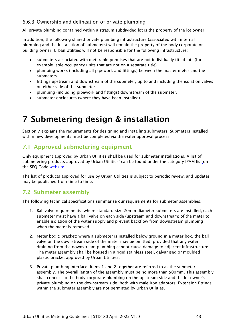#### <span id="page-42-0"></span>6.6.3 Ownership and delineation of private plumbing

All private plumbing contained within a stratum subdivided lot is the property of the lot owner.

In addition, the following shared private plumbing infrastructure (associated with internal plumbing and the installation of submeters) will remain the property of the body corporate or building owner. Urban Utilities will not be responsible for the following infrastructure:

- submeters associated with meterable premises that are not individually titled lots (for example, sole-occupancy units that are not on a separate title).
- plumbing works (including all pipework and fittings) between the master meter and the submeters.
- fittings upstream and downstream of the submeter, up to and including the isolation valves on either side of the submeter.
- plumbing (including pipework and fittings) downstream of the submeter.
- <span id="page-42-4"></span>• submeter enclosures (where they have been installed).

# <span id="page-42-1"></span>7 Submetering design & installation

Section [7](#page-42-4) explains the requirements for designing and installing submeters. Submeters installed within new developments must be completed via the water approval process.

# <span id="page-42-2"></span>7.1 Approved submetering equipment

Only equipment approved by Urban Utilities shall be used for submeter installations. A list of submetering products approved by Urban Utilities' can be found under the category IPAM list on the SEQ Code [website.](http://www.seqcode.com.au/)

The list of products approved for use by Urban Utilities is subject to periodic review, and updates may be published from time to time.

# <span id="page-42-3"></span>7.2 Submeter assembly

The following technical specifications summarise our requirements for submeter assemblies.

- 1. Ball valve requirements: where standard size 20mm diameter submeters are installed, each submeter must have a ball valve on each side (upstream and downstream) of the meter to enable isolation of the water supply and prevent backflow from downstream plumbing when the meter is removed.
- 2. Meter box & bracket: where a submeter is installed below ground in a meter box, the ball valve on the downstream side of the meter may be omitted, provided that any water draining from the downstream plumbing cannot cause damage to adjacent infrastructure. The meter assembly shall be housed in a rigid stainless steel, galvanised or moulded plastic bracket approved by Urban Utilities.
- 3. Private plumbing interface: items 1 and 2 together are referred to as the submeter assembly. The overall length of the assembly must be no more than 500mm. This assembly shall connect to the body corporate plumbing on the upstream side and the lot owner's private plumbing on the downstream side, both with male iron adaptors. Extension fittings within the submeter assembly are not permitted by Urban Utilities.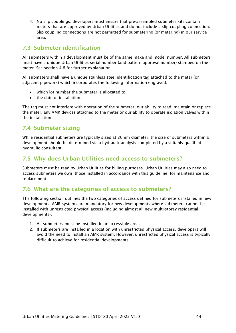4. No slip couplings: developers must ensure that pre-assembled submeter kits contain meters that are approved by Urban Utilities and do not include a slip coupling connection. Slip coupling connections are not permitted for submetering (or metering) in our service area.

# <span id="page-43-0"></span>7.3 Submeter identification

All submeters within a development must be of the same make and model number. All submeters must have a unique Urban Utilities serial number (and pattern approval number) stamped on the meter. See section [4.8](#page-28-1) for further explanation.

All submeters shall have a unique stainless steel identification tag attached to the meter (or adjacent pipework) which incorporates the following information engraved:

- which lot number the submeter is allocated to
- the date of installation.

The tag must not interfere with operation of the submeter, our ability to read, maintain or replace the meter, any AMR devices attached to the meter or our ability to operate isolation valves within the installation.

# <span id="page-43-1"></span>7.4 Submeter sizing

While residential submeters are typically sized at 20mm diameter, the size of submeters within a development should be determined via a hydraulic analysis completed by a suitably qualified hydraulic consultant.

# <span id="page-43-2"></span>7.5 Why does Urban Utilities need access to submeters?

Submeters must be read by Urban Utilities for billing purposes. Urban Utilities may also need to access submeters we own (those installed in accordance with this guideline) for maintenance and replacement.

# <span id="page-43-3"></span>7.6 What are the categories of access to submeters?

The following section outlines the two categories of access defined for submeters installed in new developments. AMR systems are mandatory for new developments where submeters cannot be installed with unrestricted physical access (including almost all new multi-storey residential developments).

- 1. All submeters must be installed in an accessible area.
- 2. If submeters are installed in a location with unrestricted physical access, developers will avoid the need to install an AMR system. However, unrestricted physical access is typically difficult to achieve for residential developments.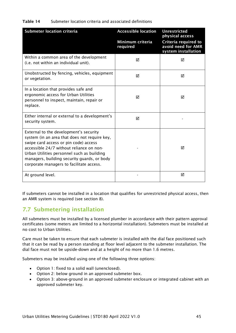#### <span id="page-44-1"></span>Table 14 Submeter location criteria and associated definitions

| <b>Submeter location criteria</b>                                                                                                                                                                                                                                                                                     | <b>Accessible location</b>   | <b>Unrestricted</b><br>physical access                            |
|-----------------------------------------------------------------------------------------------------------------------------------------------------------------------------------------------------------------------------------------------------------------------------------------------------------------------|------------------------------|-------------------------------------------------------------------|
|                                                                                                                                                                                                                                                                                                                       | Minimum criteria<br>required | Criteria required to<br>avoid need for AMR<br>system installation |
| Within a common area of the development<br>(i.e. not within an individual unit).                                                                                                                                                                                                                                      | ☑                            | ☑                                                                 |
| Unobstructed by fencing, vehicles, equipment<br>or vegetation.                                                                                                                                                                                                                                                        | ☑                            | ☑                                                                 |
| In a location that provides safe and<br>ergonomic access for Urban Utilities<br>personnel to inspect, maintain, repair or<br>replace.                                                                                                                                                                                 | ☑                            | ☑                                                                 |
| Either internal or external to a development's<br>security system.                                                                                                                                                                                                                                                    | ☑                            |                                                                   |
| External to the development's security<br>system (in an area that does not require key,<br>swipe card access or pin code) access<br>accessible 24/7 without reliance on non-<br>Urban Utilities personnel such as building<br>managers, building security guards, or body<br>corporate managers to facilitate access. |                              | ☑                                                                 |
| At ground level.                                                                                                                                                                                                                                                                                                      |                              | ☑                                                                 |

If submeters cannot be installed in a location that qualifies for unrestricted physical access, then an AMR system is required (see section [8\)](#page-50-0).

# <span id="page-44-0"></span>7.7 Submetering installation

All submeters must be installed by a licensed plumber in accordance with their pattern approval certificates (some meters are limited to a horizontal installation). Submeters must be installed at no cost to Urban Utilities.

Care must be taken to ensure that each submeter is installed with the dial face positioned such that it can be read by a person standing at floor level adjacent to the submeter installation. The dial face must not be upside-down and at a height of no more than 1.6 metres.

Submeters may be installed using one of the following three options:

- Option 1: fixed to a solid wall (unenclosed).
- Option 2: below ground in an approved submeter box.
- Option 3: above-ground in an approved submeter enclosure or integrated cabinet with an approved submeter key.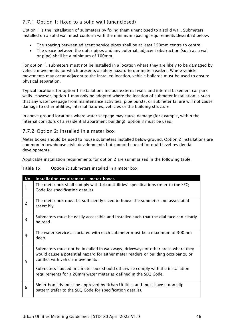# <span id="page-45-0"></span>7.7.1 Option 1: fixed to a solid wall (unenclosed)

Option 1 is the installation of submeters by fixing them unenclosed to a solid wall. Submeters installed on a solid wall must conform with the minimum spacing requirements described below.

- The spacing between adjacent service pipes shall be at least 150mm centre to centre.
- The space between the outer pipes and any external, adjacent obstruction (such as a wall or pipe) shall be a minimum of 100mm.

For option 1, submeters must not be installed in a location where they are likely to be damaged by vehicle movements, or which presents a safety hazard to our meter readers. Where vehicle movements may occur adjacent to the installed location, vehicle bollards must be used to ensure physical separation.

Typical locations for option 1 installations include external walls and internal basement car park walls. However, option 1 may only be adopted where the location of submeter installation is such that any water seepage from maintenance activities, pipe bursts, or submeter failure will not cause damage to other utilities, internal fixtures, vehicles or the building structure.

In above-ground locations where water seepage may cause damage (for example, within the internal corridors of a residential apartment building), option 3 must be used.

#### <span id="page-45-1"></span>7.7.2 Option 2: installed in a meter box

Meter boxes should be used to house submeters installed below-ground. Option 2 installations are common in townhouse-style developments but cannot be used for multi-level residential developments.

Applicable installation requirements for option 2 are summarised in the following table.

<span id="page-45-2"></span>Table 15 Option 2: submeters installed in a meter box

| No.            | Installation requirement - meter boxes                                                                                                                                                                    |
|----------------|-----------------------------------------------------------------------------------------------------------------------------------------------------------------------------------------------------------|
|                | The meter box shall comply with Urban Utilities' specifications (refer to the SEQ<br>Code for specification details).                                                                                     |
| $\overline{2}$ | The meter box must be sufficiently sized to house the submeter and associated<br>assembly.                                                                                                                |
| 3              | Submeters must be easily accessible and installed such that the dial face can clearly<br>be read.                                                                                                         |
| 4              | The water service associated with each submeter must be a maximum of 300mm<br>deep.                                                                                                                       |
| 5              | Submeters must not be installed in walkways, driveways or other areas where they<br>would cause a potential hazard for either meter readers or building occupants, or<br>conflict with vehicle movements. |
|                | Submeters housed in a meter box should otherwise comply with the installation<br>requirements for a 20mm water meter as defined in the SEQ Code.                                                          |
| 6              | Meter box lids must be approved by Urban Utilities and must have a non-slip<br>pattern (refer to the SEQ Code for specification details).                                                                 |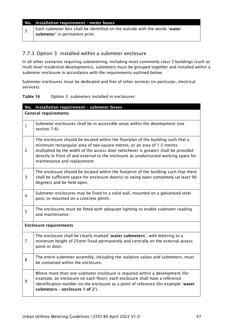#### No. Installation requirement – meter boxes

 $7$  Each submeter box shall be identified on the outside with the words 'water submeter' in permanent print.

#### <span id="page-46-0"></span>7.7.3 Option 3: installed within a submeter enclosure

In all other scenarios requiring submetering, including most commonly class 2 buildings (such as multi-level residential developments), submeters must be grouped together and installed within a submeter enclosure in accordance with the requirements outlined below.

Submeter enclosures must be dedicated and free of other services (in particular, electrical services).

#### <span id="page-46-1"></span>Table 16 Option 3: submeters installed in enclosures

|                               | No. Installation requirement - submeter boxes                                                                                                                                                                                                                                                                                                                              |  |
|-------------------------------|----------------------------------------------------------------------------------------------------------------------------------------------------------------------------------------------------------------------------------------------------------------------------------------------------------------------------------------------------------------------------|--|
|                               | <b>General requirements</b>                                                                                                                                                                                                                                                                                                                                                |  |
| 1                             | Submeter enclosures shall be in accessible areas within the development (see<br>section 7.6).                                                                                                                                                                                                                                                                              |  |
| $\overline{2}$                | The enclosure should be located within the floorplan of the building such that a<br>minimum rectangular area of two-square metres, or an area of 1.5 metres<br>multiplied by the width of the access door (whichever is greater) shall be provided<br>directly in front of and external to the enclosure as unobstructed working space for<br>maintenance and replacement. |  |
| 3                             | The enclosure should be located within the footprint of the building such that there<br>shall be sufficient space for enclosure door(s) to swing open completely (at least 90<br>degrees) and be held open.                                                                                                                                                                |  |
| $\overline{4}$                | Submeter enclosures may be fixed to a solid wall, mounted on a galvanised steel<br>post, or mounted on a concrete plinth.                                                                                                                                                                                                                                                  |  |
| 5                             | The enclosures must be fitted with adequate lighting to enable submeter reading<br>and maintenance.                                                                                                                                                                                                                                                                        |  |
| <b>Enclosure requirements</b> |                                                                                                                                                                                                                                                                                                                                                                            |  |
| $\overline{7}$                | The enclosure shall be clearly marked 'water submeters', with lettering to a<br>minimum height of 25mm fixed permanently and centrally on the external access<br>point or door.                                                                                                                                                                                            |  |
| 8                             | The entire submeter assembly, including the isolation valves and submeters, must<br>be contained within the enclosure.                                                                                                                                                                                                                                                     |  |
| 9                             | Where more than one submeter enclosure is required within a development (for<br>example, an enclosure on each floor), each enclosure shall have a reference<br>identification number on the enclosure as a point of reference (for example 'water<br>submeters - enclosure 1 of 2').                                                                                       |  |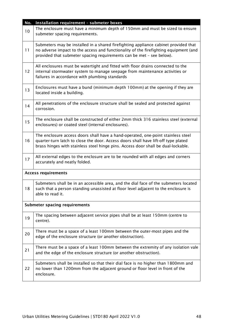| No. | Installation requirement - submeter boxes                                                                                                                                                                                                                   |  |  |
|-----|-------------------------------------------------------------------------------------------------------------------------------------------------------------------------------------------------------------------------------------------------------------|--|--|
| 10  | The enclosure must have a minimum depth of 150mm and must be sized to ensure<br>submeter spacing requirements.                                                                                                                                              |  |  |
| 11  | Submeters may be installed in a shared firefighting appliance cabinet provided that<br>no adverse impact to the access and functionality of the firefighting equipment (and<br>provided that submeter spacing requirements can be met - see below).         |  |  |
| 12  | All enclosures must be watertight and fitted with floor drains connected to the<br>internal stormwater system to manage seepage from maintenance activities or<br>failures in accordance with plumbing standards                                            |  |  |
| 13  | Enclosures must have a bund (minimum depth 100mm) at the opening if they are<br>located inside a building.                                                                                                                                                  |  |  |
| 14  | All penetrations of the enclosure structure shall be sealed and protected against<br>corrosion.                                                                                                                                                             |  |  |
| 15  | The enclosure shall be constructed of either 2mm thick 316 stainless steel (external<br>enclosures) or coated steel (internal enclosures).                                                                                                                  |  |  |
| 16  | The enclosure access doors shall have a hand-operated, one-point stainless steel<br>quarter-turn latch to close the door. Access doors shall have lift-off type plated<br>brass hinges with stainless steel hinge pins. Access door shall be dual-lockable. |  |  |
| 17  | All external edges to the enclosure are to be rounded with all edges and corners<br>accurately and neatly folded.                                                                                                                                           |  |  |
|     | <b>Access requirements</b>                                                                                                                                                                                                                                  |  |  |
| 18  | Submeters shall be in an accessible area, and the dial face of the submeters located<br>such that a person standing unassisted at floor level adjacent to the enclosure is<br>able to read it.                                                              |  |  |
|     | <b>Submeter spacing requirements</b>                                                                                                                                                                                                                        |  |  |
| 19  | The spacing between adjacent service pipes shall be at least 150mm (centre to<br>centre).                                                                                                                                                                   |  |  |
| 20  | There must be a space of a least 100mm between the outer-most pipes and the<br>edge of the enclosure structure (or another obstruction).                                                                                                                    |  |  |
| 21  | There must be a space of a least 100mm between the extremity of any isolation vale<br>and the edge of the enclosure structure (or another obstruction).                                                                                                     |  |  |
| 22  | Submeters shall be installed so that their dial face is no higher than 1800mm and<br>no lower than 1200mm from the adjacent ground or floor level in front of the<br>enclosure.                                                                             |  |  |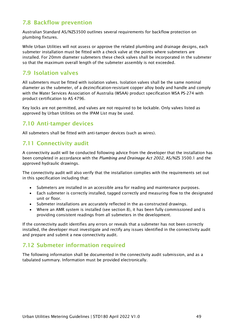# <span id="page-48-0"></span>7.8 Backflow prevention

Australian Standard AS/NZS3500 outlines several requirements for backflow protection on plumbing fixtures.

While Urban Utilities will not assess or approve the related plumbing and drainage designs, each submeter installation must be fitted with a check valve at the points where submeters are installed. For 20mm diameter submeters these check valves shall be incorporated in the submeter so that the maximum overall length of the submeter assembly is not exceeded.

# <span id="page-48-1"></span>7.9 Isolation valves

All submeters must be fitted with isolation valves. Isolation valves shall be the same nominal diameter as the submeter, of a dezincification-resistant copper alloy body and handle and comply with the Water Services Association of Australia (WSAA) product specification WSA PS-274 with product certification to AS 4796.

Key locks are not permitted, and valves are not required to be lockable. Only valves listed as approved by Urban Utilities on the IPAM List may be used.

# <span id="page-48-2"></span>7.10 Anti-tamper devices

All submeters shall be fitted with anti-tamper devices (such as wires).

# <span id="page-48-3"></span>7.11 Connectivity audit

A connectivity audit will be conducted following advice from the developer that the installation has been completed in accordance with the *Plumbing and Drainage Act 2002*, AS/NZS 3500.1 and the approved hydraulic drawings.

The connectivity audit will also verify that the installation complies with the requirements set out in this specification including that:

- Submeters are installed in an accessible area for reading and maintenance purposes.
- Each submeter is correctly installed, tagged correctly and measuring flow to the designated unit or floor.
- Submeter installations are accurately reflected in the as-constructed drawings.
- Where an AMR system is installed (see section [8\)](#page-50-0), it has been fully commissioned and is providing consistent readings from all submeters in the development.

If the connectivity audit identifies any errors or reveals that a submeter has not been correctly installed, the developer must investigate and rectify any issues identified in the connectivity audit and prepare and submit a new connectivity audit.

# <span id="page-48-4"></span>7.12 Submeter information required

The following information shall be documented in the connectivity audit submission, and as a tabulated summary. Information must be provided electronically.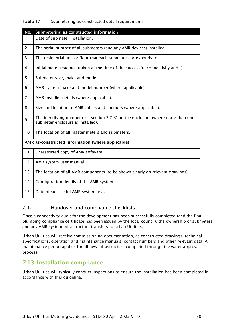#### <span id="page-49-2"></span>Table 17 Submetering as-constructed detail requirements

| No.            | Submetering as-constructed information                                                                                |
|----------------|-----------------------------------------------------------------------------------------------------------------------|
| 1              | Date of submeter installation.                                                                                        |
| $\overline{2}$ | The serial number of all submeters (and any AMR devices) installed.                                                   |
| 3              | The residential unit or floor that each submeter corresponds to.                                                      |
| $\overline{4}$ | Initial meter readings (taken at the time of the successful connectivity audit).                                      |
| 5              | Submeter size, make and model.                                                                                        |
| 6              | AMR system make and model number (where applicable).                                                                  |
| $\overline{7}$ | AMR installer details (where applicable).                                                                             |
| 8              | Size and location of AMR cables and conduits (where applicable).                                                      |
| 9              | The identifying number (see section 7.7.3) on the enclosure (where more than one<br>submeter enclosure is installed). |
| 10             | The location of all master meters and submeters.                                                                      |
|                | AMR as-constructed information (where applicable)                                                                     |
| 11             | Unrestricted copy of AMR software.                                                                                    |
| 12             | AMR system user manual.                                                                                               |
| 13             | The location of all AMR components (to be shown clearly on relevant drawings).                                        |
| 14             | Configuration details of the AMR system.                                                                              |
| 15             | Date of successful AMR system test.                                                                                   |

#### <span id="page-49-0"></span>7.12.1 Handover and compliance checklists

Once a connectivity audit for the development has been successfully completed (and the final plumbing compliance certificate has been issued by the local council), the ownership of submeters and any AMR system infrastructure transfers to Urban Utilities.

Urban Utilities will receive commissioning documentation, as-constructed drawings, technical specifications, operation and maintenance manuals, contact numbers and other relevant data. A maintenance period applies for all new infrastructure completed through the water approval process.

# <span id="page-49-1"></span>7.13 Installation compliance

Urban Utilities will typically conduct inspections to ensure the installation has been completed in accordance with this guideline.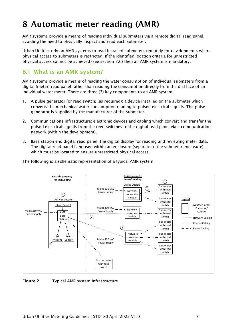# <span id="page-50-0"></span>8 Automatic meter reading (AMR)

AMR systems provide a means of reading individual submeters via a remote digital read panel, avoiding the need to physically inspect and read each submeter.

Urban Utilities rely on AMR systems to read installed submeters remotely for developments where physical access to submeters is restricted. If the identified location criteria for unrestricted physical access cannot be achieved (see section [7.6\)](#page-43-3) then an AMR system is mandatory.

# <span id="page-50-1"></span>8.1 What is an AMR system?

AMR systems provide a means of reading the water consumption of individual submeters from a digital (meter) read panel rather than reading the consumption directly from the dial face of an individual water meter. There are three (3) key components to an AMR system:

- 1. A pulse generator (or reed switch) (as required): a device installed on the submeter which converts the mechanical water consumption reading to pulsed electrical signals. The pulse generator is supplied by the manufacturer of the submeter.
- 2. Communications infrastructure: electronic devices and cabling which convert and transfer the pulsed electrical signals from the reed switches to the digital read panel via a communication network (within the development).
- 3. Base station and digital read panel: the digital display for reading and reviewing meter data. The digital read panel is housed within an enclosure (separate to the submeter enclosure) which must be located to ensure unrestricted physical access.



The following is a schematic representation of a typical AMR system.

<span id="page-50-2"></span>Figure 2 Typical AMR system infrastructure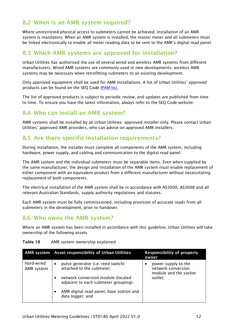# <span id="page-51-0"></span>8.2 When is an AMR system required?

Where unrestricted physical access to submeters cannot be achieved, installation of an AMR system is mandatory. When an AMR system is installed, the master meter and all submeters must be linked electronically to enable all meter reading data to be sent to the AMR's digital read panel.

# <span id="page-51-1"></span>8.3 Which AMR systems are approved for installation?

Urban Utilities has authorised the use of several wired and wireless AMR systems from different manufacturers. Wired AMR systems are commonly used in new developments; wireless AMR systems may be necessary when retrofitting submeters to an existing development.

Only approved equipment shall be used for AMR installations. A list of Urban Utilities' approved products can be found on the SEQ Code [IPAM list.](http://www.seqcode.com.au/products/)

The list of approved products is subject to periodic review, and updates are published from time to time. To ensure you have the latest information, always refer to the SEQ Code website.

# <span id="page-51-2"></span>8.4 Who can install an AMR system?

AMR systems shall be installed by an Urban Utilities- approved installer only. Please contact Urban Utilities' approved AMR providers, who can advise on approved AMR installers.

# <span id="page-51-3"></span>8.5 Are there specific installation requirements?

During installation, the installer must complete all components of the AMR system, including hardware, power supply, and cabling and communication to the digital read panel.

The AMR system and the individual submeters must be separable items. Even when supplied by the same manufacturer, the design and installation of the AMR system must enable replacement of either component with an equivalent product from a different manufacturer without necessitating replacement of both components.

The electrical installation of the AMR system shall be in accordance with AS3000, AS3008 and all relevant Australian Standards, supply authority regulations and statutes.

Each AMR system must be fully commissioned, including provision of accurate reads from all submeters in the development, prior to handover.

#### <span id="page-51-4"></span>8.6 Who owns the AMR system?

Where an AMR system has been installed in accordance with this guideline, Urban Utilities will take ownership of the following assets.

|                          | AMR system Asset responsibility of Urban Utilities                                      | <b>Responsibility of property</b><br>owner                         |
|--------------------------|-----------------------------------------------------------------------------------------|--------------------------------------------------------------------|
| Hard-wired<br>AMR system | pulse generator (i.e. reed switch)<br>$\bullet$<br>attached to the submeter;            | power supply to the<br>network conversion<br>module and the socket |
|                          | network conversion module (located<br>$\bullet$<br>adjacent to each submeter grouping); | outlet;                                                            |
|                          | AMR digital read panel, base station and<br>$\bullet$<br>data logger; and               |                                                                    |

#### <span id="page-51-5"></span>Table 18 AMR system ownership explained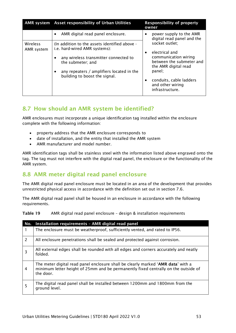|                        | AMR system Asset responsibility of Urban Utilities                             | <b>Responsibility of property</b><br>owner                               |
|------------------------|--------------------------------------------------------------------------------|--------------------------------------------------------------------------|
|                        | AMR digital read panel enclosure.<br>$\bullet$                                 | power supply to the AMR<br>digital read panel and the                    |
| Wireless<br>AMR system | (In addition to the assets identified above -<br>i.e. hard-wired AMR systems): | socket outlet;<br>electrical and<br>$\bullet$                            |
|                        | any wireless transmitter connected to<br>the submeter; and                     | communication wiring<br>between the submeter and<br>the AMR digital read |
|                        | any repeaters / amplifiers located in the<br>building to boost the signal.     | panel;                                                                   |
|                        |                                                                                | conduits, cable ladders<br>and other wiring<br>infrastructure.           |

# <span id="page-52-0"></span>8.7 How should an AMR system be identified?

AMR enclosures must incorporate a unique identification tag installed within the enclosure complete with the following information:

- property address that the AMR enclosure corresponds to
- date of installation, and the entity that installed the AMR system
- AMR manufacturer and model number.

AMR identification tags shall be stainless steel with the information listed above engraved onto the tag. The tag must not interfere with the digital read panel, the enclosure or the functionality of the AMR system.

# <span id="page-52-1"></span>8.8 AMR meter digital read panel enclosure

The AMR digital read panel enclosure must be located in an area of the development that provides unrestricted physical access in accordance with the definition set out in section [7.6.](#page-43-3)

The AMR digital read panel shall be housed in an enclosure in accordance with the following requirements.

<span id="page-52-2"></span>

| Table 19 |  |  | AMR digital read panel enclosure - design & installation requirements |
|----------|--|--|-----------------------------------------------------------------------|
|----------|--|--|-----------------------------------------------------------------------|

| No.            | Installation requirements - AMR digital read panel                                                                                                                                  |
|----------------|-------------------------------------------------------------------------------------------------------------------------------------------------------------------------------------|
|                | The enclosure must be weatherproof, sufficiently vented, and rated to IP56.                                                                                                         |
| 2              | All enclosure penetrations shall be sealed and protected against corrosion.                                                                                                         |
| 3              | All external edges shall be rounded with all edges and corners accurately and neatly<br>folded.                                                                                     |
| $\overline{4}$ | The meter digital read panel enclosure shall be clearly marked 'AMR data' with a<br>minimum letter height of 25mm and be permanently fixed centrally on the outside of<br>the door. |
| 5              | The digital read panel shall be installed between 1200mm and 1800mm from the<br>ground level.                                                                                       |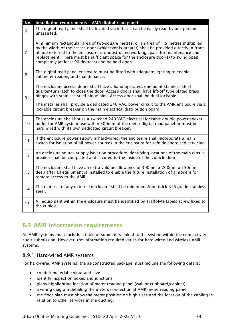| No.            | Installation requirements - AMR digital read panel                                                                                                                                                                                                                                                                                                                                                                             |
|----------------|--------------------------------------------------------------------------------------------------------------------------------------------------------------------------------------------------------------------------------------------------------------------------------------------------------------------------------------------------------------------------------------------------------------------------------|
| 6              | The digital read panel shall be located such that it can be easily read by one person<br>unassisted.                                                                                                                                                                                                                                                                                                                           |
| $\overline{7}$ | A minimum rectangular area of two-square metres, or an area of 1.5 metres multiplied<br>by the width of the access door (whichever is greater) shall be provided directly in front<br>of and external to the enclosure as unobstructed working space for maintenance and<br>replacement. There must be sufficient space for the enclosure door(s) to swing open<br>completely (at least 90 degrees) and be held open.          |
| 8              | The digital read panel enclosure must be fitted with adequate lighting to enable<br>submeter reading and maintenance.                                                                                                                                                                                                                                                                                                          |
| 9              | The enclosure access doors shall have a hand-operated, one-point stainless steel<br>quarter-turn latch to close the door. Access doors shall have lift-off type plated brass<br>hinges with stainless steel hinge pins. Access door shall be dual-lockable.<br>The installer shall provide a dedicated 240 VAC power circuit to the AMR enclosure via a<br>lockable circuit breaker on the main electrical distribution board. |
|                |                                                                                                                                                                                                                                                                                                                                                                                                                                |
| 10             | The enclosure shall house a switched 240 VAC electrical lockable double power socket<br>outlet for AMR system use within 300mm of the meter digital read panel or must be<br>hard wired with its own dedicated circuit breaker.                                                                                                                                                                                                |
| 11             | If the enclosure power supply is hard-wired, the enclosure shall incorporate a main<br>switch for isolation of all power sources in the enclosure for safe de-energised servicing.                                                                                                                                                                                                                                             |
| 12             | An enclosure source supply isolation procedure identifying locations of the main circuit<br>breaker shall be completed and secured to the inside of the cubicle door.                                                                                                                                                                                                                                                          |
| 13             | The enclosure shall have an extra volume allowance of 300mm x 200mm x 150mm<br>deep after all equipment is installed to enable the future installation of a modem for<br>remote access to the AMR.                                                                                                                                                                                                                             |
| 14             | The material of any external enclosure shall be minimum 2mm thick 316 grade stainless<br>steel.                                                                                                                                                                                                                                                                                                                                |
| 15             | All equipment within the enclosure must be identified by Traffolyte labels screw fixed to<br>the cubicle.                                                                                                                                                                                                                                                                                                                      |

# <span id="page-53-0"></span>8.9 AMR information requirements

All AMR systems must include a table of submeters linked to the system within the connectivity audit submission. However, the information required varies for hard wired and wireless AMR systems.

#### <span id="page-53-1"></span>8.9.1 Hard-wired AMR systems

For hard-wired AMR systems, the as-constructed package must include the following details:

- conduit material, colour and size
- identify inspection boxes and junctions
- plans highlighting location of meter reading panel (wall or cupboard/cabinet)
- a wiring diagram detailing the meters connection at AMR meter reading panel
- the floor plan must show the meter position on high-rises and the location of the cabling in relation to other services in the ducting.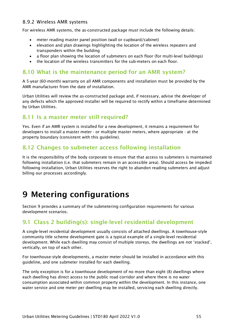#### <span id="page-54-0"></span>8.9.2 Wireless AMR systems

For wireless AMR systems, the as-constructed package must include the following details:

- meter reading master panel position (wall or cupboard/cabinet)
- elevation and plan drawings highlighting the location of the wireless repeaters and transponders within the building
- a floor plan showing the location of submeters on each floor (for multi-level buildings)
- the location of the wireless transmitters for the sub-meters on each floor.

### <span id="page-54-1"></span>8.10 What is the maintenance period for an AMR system?

A 5-year (60-month) warranty on all AMR components and installation must be provided by the AMR manufacturer from the date of installation.

Urban Utilities will review the as-constructed package and, if necessary, advise the developer of any defects which the approved installer will be required to rectify within a timeframe determined by Urban Utilities.

#### <span id="page-54-2"></span>8.11 Is a master meter still required?

Yes. Even if an AMR system is installed for a new development, it remains a requirement for developers to install a master meter - or multiple master meters, where appropriate - at the property boundary (consistent with this guideline).

## <span id="page-54-3"></span>8.12 Changes to submeter access following installation

It is the responsibility of the body corporate to ensure that that access to submeters is maintained following installation (i.e. that submeters remain in an accessible area). Should access be impeded following installation, Urban Utilities reserves the right to abandon reading submeters and adjust billing our processes accordingly.

# <span id="page-54-4"></span>9 Metering configurations

Section [9](#page-54-4) provides a summary of the submetering configuration requirements for various development scenarios.

# <span id="page-54-5"></span>9.1 Class 2 building(s): single-level residential development

A single-level residential development usually consists of attached dwellings. A townhouse-style community title scheme development gate is a typical example of a single-level residential development. While each dwelling may consist of multiple storeys, the dwellings are not 'stacked', vertically, on top of each other.

For townhouse-style developments, a master meter should be installed in accordance with this guideline, and one submeter installed for each dwelling.

The only exception is for a townhouse development of no more than eight (8) dwellings where each dwelling has direct access to the public road corridor and where there is no water consumption associated within common property within the development. In this instance, one water service and one meter per dwelling may be installed, servicing each dwelling directly.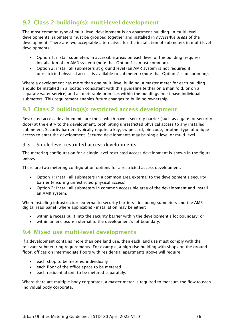# <span id="page-55-0"></span>9.2 Class 2 building(s): multi-level development

The most common type of multi-level development is an apartment building. In multi-level developments, submeters must be grouped together and installed in *accessible areas* of the development. There are two acceptable alternatives for the installation of submeters in multi-level developments.

- Option 1: install submeters in accessible areas on each level of the building (requires installation of an AMR system) (note that Option 1 is most common).
- Option 2: install all submeters at ground level (an AMR system is not required if unrestricted physical access is available to submeters) (note that Option 2 is uncommon).

Where a development has more than one multi-level building, a master meter for each building should be installed in a location consistent with this guideline (either on a manifold, or on a separate water service) and all meterable premises within the buildings must have individual submeters. This requirement enables future changes to building ownership.

# <span id="page-55-1"></span>9.3 Class 2 building(s): restricted access development

Restricted access developments are those which have a security barrier (such as a gate, or security door) at the entry to the development, prohibiting unrestricted physical access to any installed submeters. Security barriers typically require a key, swipe card, pin code, or other type of unique access to enter the development. Secured developments may be single-level or multi-level.

#### <span id="page-55-2"></span>9.3.1 Single-level restricted access developments

The metering configuration for a single-level restricted access development is shown in the figure below.

There are two metering configuration options for a restricted access development.

- Option 1: install all submeters in a common area external to the development's security barrier (ensuring unrestricted physical access).
- Option 2: install all submeters in common accessible area of the development and install an AMR system.

When installing infrastructure external to security barriers - including submeters and the AMR digital read panel (where applicable) - installation may be either:

- within a recess built into the security barrier within the development's lot boundary; or
- within an enclosure external to the development's lot boundary.

# <span id="page-55-3"></span>9.4 Mixed use multi-level developments

If a development contains more than one land use, then each land use must comply with the relevant submetering requirements. For example, a high rise building with shops on the ground floor, offices on intermediate floors with residential apartments above will require:

- each shop to be metered individually
- each floor of the office space to be metered
- each residential unit to be metered separately.

Where there are multiple body corporates, a master meter is required to measure the flow to each individual body corporate.